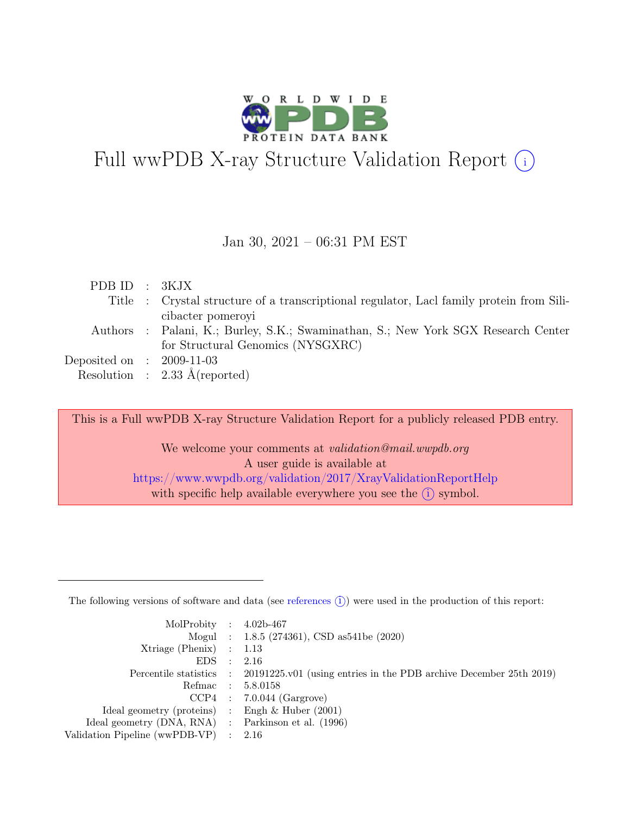

# Full wwPDB X-ray Structure Validation Report  $\bigcirc$

#### Jan 30, 2021 – 06:31 PM EST

| PDBID : 3KJX |                                                                                          |
|--------------|------------------------------------------------------------------------------------------|
|              | Title : Crystal structure of a transcriptional regulator, Lacl family protein from Sili- |
|              | cibacter pomeroyi                                                                        |
|              | Authors : Palani, K.; Burley, S.K.; Swaminathan, S.; New York SGX Research Center        |
|              | for Structural Genomics (NYSGXRC)                                                        |
|              | Deposited on : $2009-11-03$                                                              |
|              | Resolution : $2.33 \text{ Å}$ (reported)                                                 |

This is a Full wwPDB X-ray Structure Validation Report for a publicly released PDB entry.

We welcome your comments at validation@mail.wwpdb.org A user guide is available at <https://www.wwpdb.org/validation/2017/XrayValidationReportHelp> with specific help available everywhere you see the  $(i)$  symbol.

The following versions of software and data (see [references](https://www.wwpdb.org/validation/2017/XrayValidationReportHelp#references)  $(i)$ ) were used in the production of this report:

| MolProbity : $4.02b-467$                            |                                                                                            |
|-----------------------------------------------------|--------------------------------------------------------------------------------------------|
|                                                     | Mogul : $1.8.5$ (274361), CSD as 541be (2020)                                              |
| $Xtriangle (Phenix)$ : 1.13                         |                                                                                            |
| $EDS$ :                                             | - 2.16                                                                                     |
|                                                     | Percentile statistics : 20191225.v01 (using entries in the PDB archive December 25th 2019) |
|                                                     | Refmac : 5.8.0158                                                                          |
|                                                     | $CCP4$ : 7.0.044 (Gargrove)                                                                |
| Ideal geometry (proteins) : Engh $\&$ Huber (2001)  |                                                                                            |
| Ideal geometry (DNA, RNA) : Parkinson et al. (1996) |                                                                                            |
| Validation Pipeline (wwPDB-VP) : 2.16               |                                                                                            |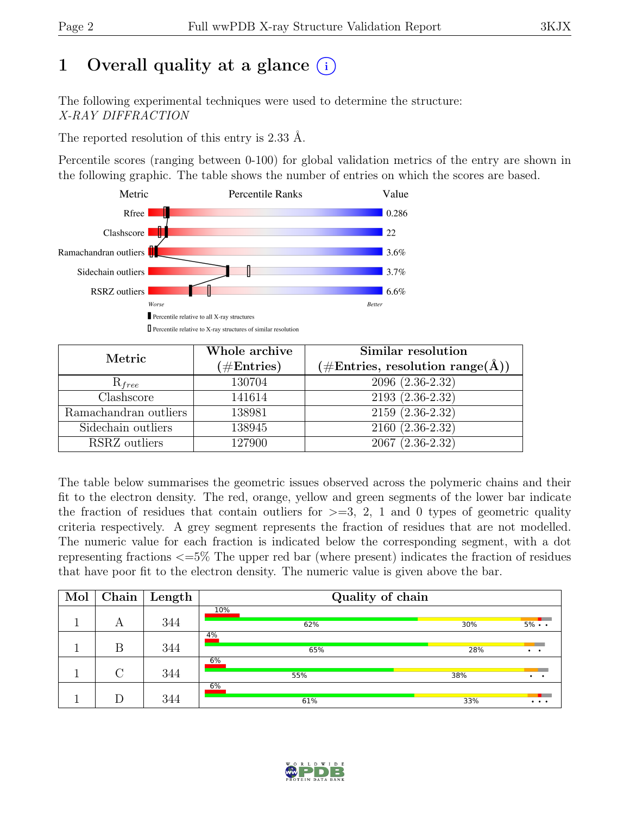# 1 Overall quality at a glance  $(i)$

The following experimental techniques were used to determine the structure: X-RAY DIFFRACTION

The reported resolution of this entry is 2.33 Å.

Percentile scores (ranging between 0-100) for global validation metrics of the entry are shown in the following graphic. The table shows the number of entries on which the scores are based.



| Metric                | Whole archive<br>$(\#Entries)$ | Similar resolution<br>$(\# \text{Entries}, \text{ resolution } \text{range}(\AA))$ |
|-----------------------|--------------------------------|------------------------------------------------------------------------------------|
| $R_{free}$            | 130704                         | $2096(2.36-2.32)$                                                                  |
| Clashscore            | 141614                         | 2193 (2.36-2.32)                                                                   |
| Ramachandran outliers | 138981                         | $2159(2.36-2.32)$                                                                  |
| Sidechain outliers    | 138945                         | $2160(2.36-2.32)$                                                                  |
| RSRZ outliers         | 127900                         | $2067(2.36-2.32)$                                                                  |

The table below summarises the geometric issues observed across the polymeric chains and their fit to the electron density. The red, orange, yellow and green segments of the lower bar indicate the fraction of residues that contain outliers for  $\geq$ =3, 2, 1 and 0 types of geometric quality criteria respectively. A grey segment represents the fraction of residues that are not modelled. The numeric value for each fraction is indicated below the corresponding segment, with a dot representing fractions <=5% The upper red bar (where present) indicates the fraction of residues that have poor fit to the electron density. The numeric value is given above the bar.

| Mol | Chain  | Length | Quality of chain |     |                                   |  |  |  |  |
|-----|--------|--------|------------------|-----|-----------------------------------|--|--|--|--|
|     | А      | 344    | 10%<br>62%       | 30% | $5\% \cdot \cdot$                 |  |  |  |  |
|     | Β      | 344    | 4%<br>65%        | 28% | $\cdot$ $\cdot$                   |  |  |  |  |
|     | $\cap$ | 344    | 6%<br>55%        | 38% | $\cdot$ $\cdot$                   |  |  |  |  |
|     |        | 344    | 6%<br>61%        | 33% | $\bullet\quad\bullet\quad\bullet$ |  |  |  |  |

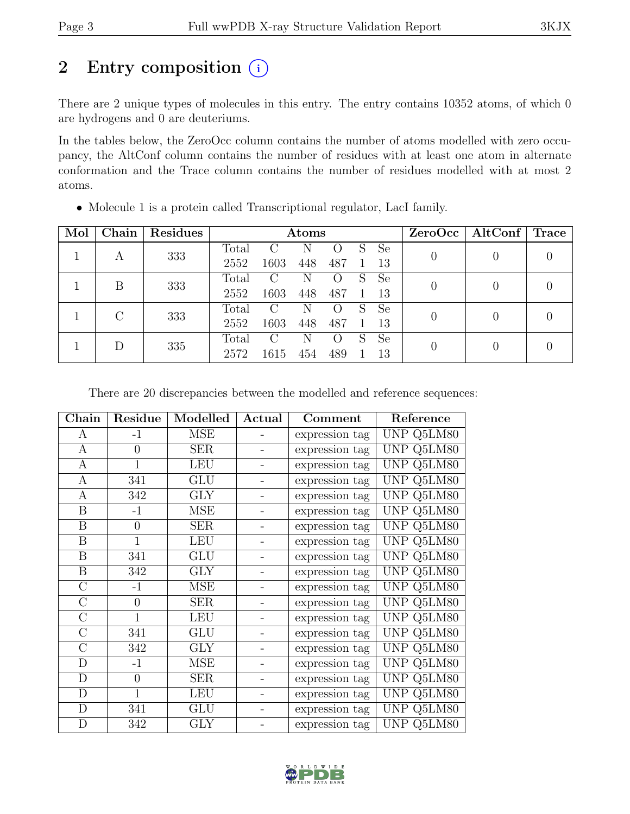# 2 Entry composition  $(i)$

There are 2 unique types of molecules in this entry. The entry contains 10352 atoms, of which 0 are hydrogens and 0 are deuteriums.

In the tables below, the ZeroOcc column contains the number of atoms modelled with zero occupancy, the AltConf column contains the number of residues with at least one atom in alternate conformation and the Trace column contains the number of residues modelled with at most 2 atoms.

| Mol | Chain | Residues |       | Atoms         |     |                  |    |               |          | $ZeroOcc \mid AltConf \mid Trace$ |  |
|-----|-------|----------|-------|---------------|-----|------------------|----|---------------|----------|-----------------------------------|--|
|     |       | 333      | Total | $\mathcal{C}$ | N   | $\left( \right)$ | S  | <b>Se</b>     |          |                                   |  |
|     | А     |          | 2552  | 1603          | 448 | 487              |    | 13            |          | $\theta$                          |  |
|     | B     | 333      | Total | $\mathcal{C}$ | N   |                  | S  | Se            |          | $\theta$                          |  |
|     |       |          | 2552  | 1603          | 448 | 487              |    | 13            |          |                                   |  |
|     | C     | 333      | Total | $\rm C$       | N   |                  | S  | Se            |          | 0                                 |  |
|     |       | 2552     | 1603  | 448           | 487 |                  | 13 |               |          |                                   |  |
|     |       |          | Total | $\mathcal{C}$ | N   |                  | S  | <sub>Se</sub> |          |                                   |  |
|     | 335   | 2572     | 1615  | 454           | 489 |                  | 13 |               | $\theta$ |                                   |  |

• Molecule 1 is a protein called Transcriptional regulator, LacI family.

There are 20 discrepancies between the modelled and reference sequences:

| ${\rm Chain}$    | Residue        | Modelled   | Actual | Comment        | Reference         |
|------------------|----------------|------------|--------|----------------|-------------------|
| A                | $-1$           | <b>MSE</b> |        | expression tag | UNP Q5LM80        |
| A                | $\overline{0}$ | <b>SER</b> |        | expression tag | UNP Q5LM80        |
| $\mathbf{A}$     | $\mathbf{1}$   | <b>LEU</b> |        | expression tag | UNP Q5LM80        |
| A                | 341            | <b>GLU</b> |        | expression tag | UNP Q5LM80        |
| $\mathbf{A}$     | 342            | <b>GLY</b> |        | expression tag | UNP Q5LM80        |
| $\boldsymbol{B}$ | $-1$           | <b>MSE</b> |        | expression tag | UNP Q5LM80        |
| $\boldsymbol{B}$ | $\overline{0}$ | <b>SER</b> |        | expression tag | UNP Q5LM80        |
| B                | $\mathbf{1}$   | <b>LEU</b> |        | expression tag | <b>UNP Q5LM80</b> |
| B                | 341            | <b>GLU</b> |        | expression tag | UNP Q5LM80        |
| $\, {\bf B}$     | 342            | <b>GLY</b> |        | expression tag | UNP Q5LM80        |
| $\mathcal{C}$    | $-1$           | <b>MSE</b> |        | expression tag | UNP Q5LM80        |
| $\overline{C}$   | $\overline{0}$ | <b>SER</b> |        | expression tag | UNP Q5LM80        |
| $\mathcal{C}$    | $\mathbf{1}$   | <b>LEU</b> |        | expression tag | UNP Q5LM80        |
| $\overline{C}$   | 341            | GLU        |        | expression tag | UNP Q5LM80        |
| $\overline{C}$   | 342            | <b>GLY</b> |        | expression tag | UNP Q5LM80        |
| $\mathbf{D}$     | $-1$           | <b>MSE</b> |        | expression tag | UNP Q5LM80        |
| D                | $\theta$       | <b>SER</b> |        | expression tag | UNP Q5LM80        |
| $\mathbf D$      | $\mathbf{1}$   | <b>LEU</b> |        | expression tag | UNP Q5LM80        |
| D                | 341            | GLU        |        | expression tag | UNP Q5LM80        |
| D                | 342            | <b>GLY</b> |        | expression tag | UNP Q5LM80        |

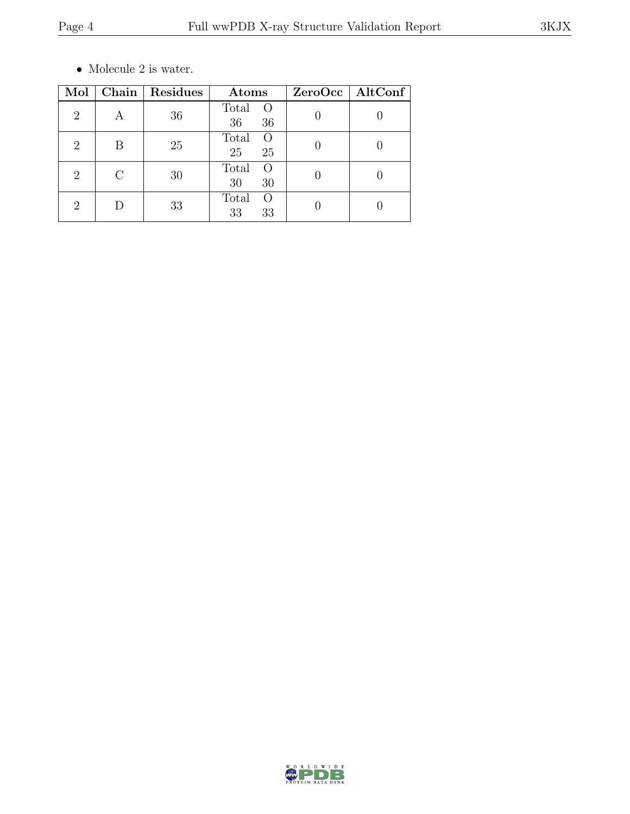$\bullet\,$  Molecule 2 is water.

| Mol                         |   | Chain   Residues | Atoms                                 | ZeroOcc   AltConf |
|-----------------------------|---|------------------|---------------------------------------|-------------------|
| $\overline{2}$              | A | 36               | Total<br>$\overline{O}$<br>36<br>36   |                   |
| 2                           | В | 25               | Total<br>$\bigcirc$<br>25<br>25       |                   |
| 2                           | C | 30               | Total<br>$\left( \right)$<br>30<br>30 |                   |
| $\mathcal{D}_{\mathcal{L}}$ |   | 33               | Total<br>$\left( \right)$<br>33<br>33 |                   |

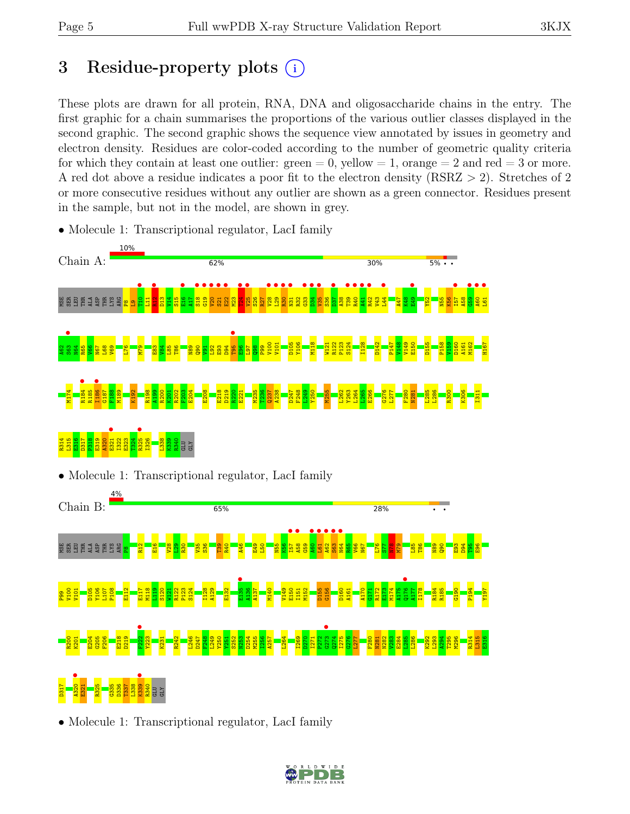# 3 Residue-property plots (i)

These plots are drawn for all protein, RNA, DNA and oligosaccharide chains in the entry. The first graphic for a chain summarises the proportions of the various outlier classes displayed in the second graphic. The second graphic shows the sequence view annotated by issues in geometry and electron density. Residues are color-coded according to the number of geometric quality criteria for which they contain at least one outlier:  $green = 0$ , yellow  $= 1$ , orange  $= 2$  and red  $= 3$  or more. A red dot above a residue indicates a poor fit to the electron density (RSRZ > 2). Stretches of 2 or more consecutive residues without any outlier are shown as a green connector. Residues present in the sample, but not in the model, are shown in grey.

- Chain A:  $62%$  $5\% \cdot \cdot$ 30% **•**<br>T<sub>11</sub>  $\frac{2}{2}$ E16 •  $\frac{18}{13}$  $\begin{array}{c} \bullet \\ \bullet \\ \bullet \end{array}$  $\frac{1}{20}$  $\frac{1}{21}$ E22 • **124** •  $V25$  $\frac{1}{28}$  $\frac{129}{123}$ **R30** •  $\frac{1}{\sqrt{3}}$  $\frac{1}{\sqrt{3}}$  $\frac{1}{134}$  $\frac{1}{\sqrt{35}}$ **•**<br>•••• T39 • **e**<br>add to  $\frac{141}{122}$ **•**<br>R42<br>was  $L44$  • **•**<br>E49 I57 •  $\frac{1}{100}$  $\frac{460}{161}$ **L61** • S<br>Ser Ser Ser<br>Ser Ser Ser LYS ARG L11  $\frac{13}{2}$  $\frac{4}{14}$  $\frac{15}{15}$  $\frac{17}{4}$  $\frac{23}{2}$  $\frac{8}{25}$  $\frac{27}{2}$ R32  $\frac{8}{25}$  $\frac{38}{4}$ V43  $\frac{147}{1}$ K48  $\frac{82}{1}$  $\frac{1}{25}$ K56 A58  $\frac{8}{2}$  $\mathbf{S}$  . s63<br><sub>भ≊4</sub> T95 M118 P123 S124 I128 P147 V148 P158 H167 V100 V101 D105 Y106 W121 R122 D142 V149 E150 D155  $\frac{159}{2}$ D160 A161 M162 A62 N64 R65  $\frac{1}{2}$ N67 L68  $\frac{1}{2}$ L76 M79 E83  $\frac{1}{2}$ L85 T86 N89  $\frac{8}{9}$  $\frac{1}{2}$ L92 E93  $\frac{1}{26}$  $\frac{8}{2}$  $\frac{197}{2}$  $\frac{8}{2}$ P99 R184 • I186 • M174 R185 G187 F188 M189 K192 R198 A199 R200  $\frac{10}{20}$ R202 F203 E204 E208 E218 D219  $\frac{20}{2}$ E221 M235 T236  $\overline{q}$ A238 D247 F248  $\frac{1249}{2}$ Y250 M255 L262 Y263 L264  $\frac{1265}{2}$ E266  $^{6}$ L277 F280 N281 L285 L286 R300 K306 I311 E321 •  $R325$ R314 L315 E316 D317 P318 E319 A320 I322 E323 T324 I326 L338 K339 R340 GLU GLY • Molecule 1: Transcriptional regulator, LacI family Chain B: 65% 28% I57 •  $\frac{158}{150}$  $\frac{460}{161}$  $\frac{1.61}{100}$  $A62$  • **963**  $N64$  • E SER EER<br>EERSTER LYS ARG  $R_{12}$  $\frac{16}{14}$  $\frac{28}{1}$  $\frac{8}{2}$  $\frac{80}{2}$  $\frac{135}{25}$  $\frac{8}{25}$  $\frac{8}{2}$ R40 A46 E49 L50 N55 K56  $\frac{6}{3}$ R65 V66 N67 L76  $\Xi$ <u>ឌ្</u>យ  $\frac{8}{2}$ L85 T86 N89  $\frac{80}{2}$  $\frac{83}{2}$ D94  $\frac{95}{2}$  $\frac{8}{10}$ ឌា E135 •<br>\*136 Q176 • V100 V101 D105 Y106 L107 P108 E112 E117 M118  $\frac{2}{11}$ S120 W121 R122 P123 S124 I128 A129 E132 A136 A137 M140 V149 E150 I151 M152 D155 G156 D160 A161 A170 G171 R172 E173 M174 A175 A177 I178 R184 R185  $\frac{190}{130}$ P194 Y197 P99  $F222$  $6273$  • R200 E204 G205 F206 E218 D219 Y223 R242 L246 D247 F248 L249 Y250 S252  $\frac{253}{2}$ D254 M255 I256 A257 L264 I269  $\frac{270}{2}$ P272  $\frac{1}{2}$ I275  $6^{276}$ L277 F280 N282  $V283$ E284 L285 L286 K292 L293 A294 T295 M296 R314 L315 E316 K201 K231 Y251 I271 N281  $\frac{1}{2}$  $\frac{9839}{1340}$
- Molecule 1: Transcriptional regulator, LacI family

 $10%$ 

• Molecule 1: Transcriptional regulator, LacI family

R340 GLU GLY

D317

E321 R325 G335 D336 T337 L338

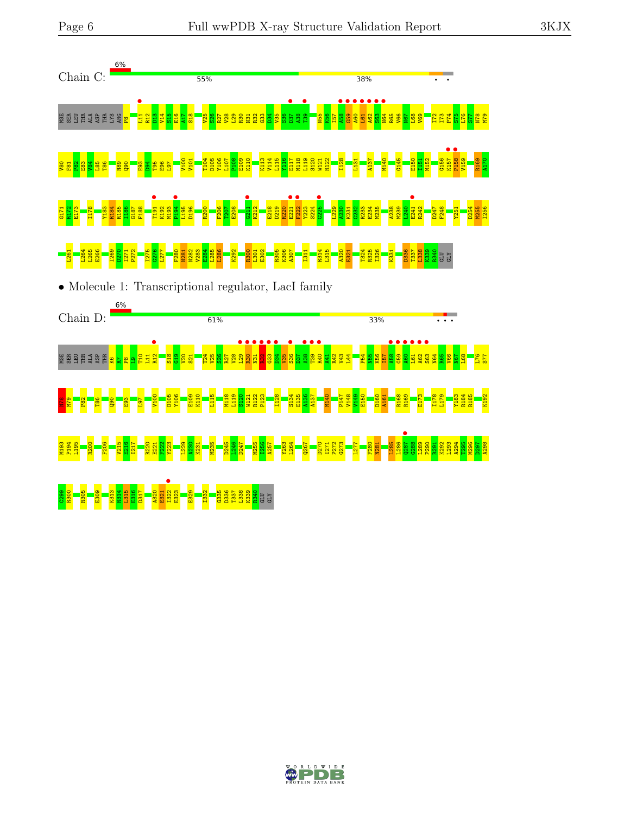

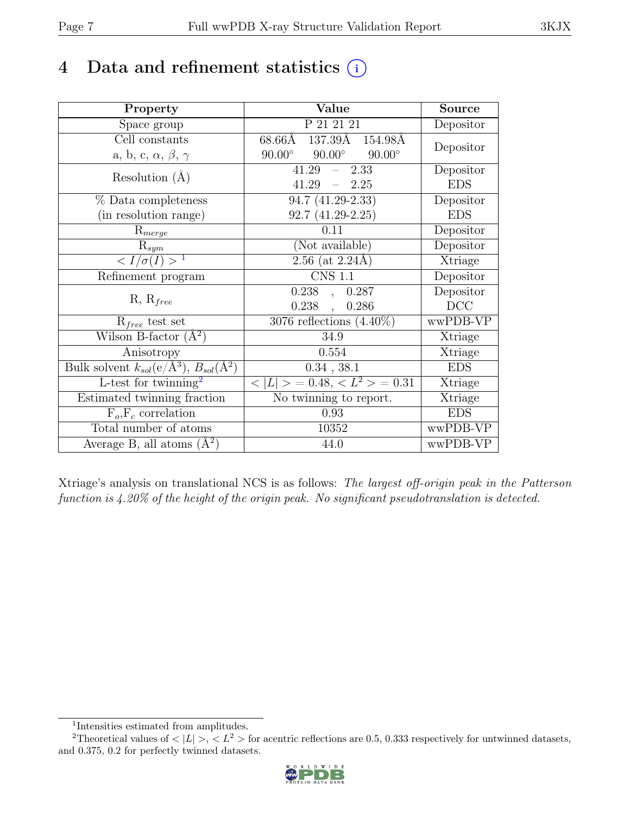## 4 Data and refinement statistics  $(i)$

| Property                                                             | Value                                           | <b>Source</b> |
|----------------------------------------------------------------------|-------------------------------------------------|---------------|
| Space group                                                          | P 21 21 21                                      | Depositor     |
| Cell constants                                                       | 68.66Å 137.39Å 154.98Å                          |               |
| a, b, c, $\alpha$ , $\beta$ , $\gamma$                               | $90.00^\circ$<br>$90.00^\circ$<br>$90.00^\circ$ | Depositor     |
| Resolution $(A)$                                                     | 41.29<br>2.33<br>$\equiv$ .                     | Depositor     |
|                                                                      | 41.29<br>$-2.25$                                | <b>EDS</b>    |
| % Data completeness                                                  | 94.7 (41.29-2.33)                               | Depositor     |
| (in resolution range)                                                | $92.7(41.29-2.25)$                              | <b>EDS</b>    |
| $R_{merge}$                                                          | 0.11                                            | Depositor     |
| $\mathrm{R}_{sym}$                                                   | (Not available)                                 | Depositor     |
| $\langle I/\sigma(I)\rangle^{-1}$                                    | $2.56$ (at 2.24Å)                               | Xtriage       |
| Refinement program                                                   | <b>CNS 1.1</b>                                  | Depositor     |
|                                                                      | 0.238, 0.287                                    | Depositor     |
| $R, R_{free}$                                                        | 0.238,<br>0.286                                 | DCC           |
| $R_{free}$ test set                                                  | $3076$ reflections $(4.40\%)$                   | wwPDB-VP      |
| Wilson B-factor $(A^2)$                                              | 34.9                                            | Xtriage       |
| Anisotropy                                                           | 0.554                                           | Xtriage       |
| Bulk solvent $k_{sol}(e/\mathring{A}^3)$ , $B_{sol}(\mathring{A}^2)$ | $0.34$ , $38.1$                                 | <b>EDS</b>    |
| L-test for $\mathrm{twinning}^2$                                     | $< L >$ = 0.48, $< L^2 >$ = 0.31                | Xtriage       |
| Estimated twinning fraction                                          | No twinning to report.                          | Xtriage       |
| $\overline{F_o,F_c}$ correlation                                     | 0.93                                            | <b>EDS</b>    |
| Total number of atoms                                                | 10352                                           | wwPDB-VP      |
| Average B, all atoms $(A^2)$                                         | 44.0                                            | wwPDB-VP      |

Xtriage's analysis on translational NCS is as follows: The largest off-origin peak in the Patterson function is 4.20% of the height of the origin peak. No significant pseudotranslation is detected.

<sup>&</sup>lt;sup>2</sup>Theoretical values of  $\langle |L| \rangle$ ,  $\langle L^2 \rangle$  for acentric reflections are 0.5, 0.333 respectively for untwinned datasets, and 0.375, 0.2 for perfectly twinned datasets.



<span id="page-6-1"></span><span id="page-6-0"></span><sup>1</sup> Intensities estimated from amplitudes.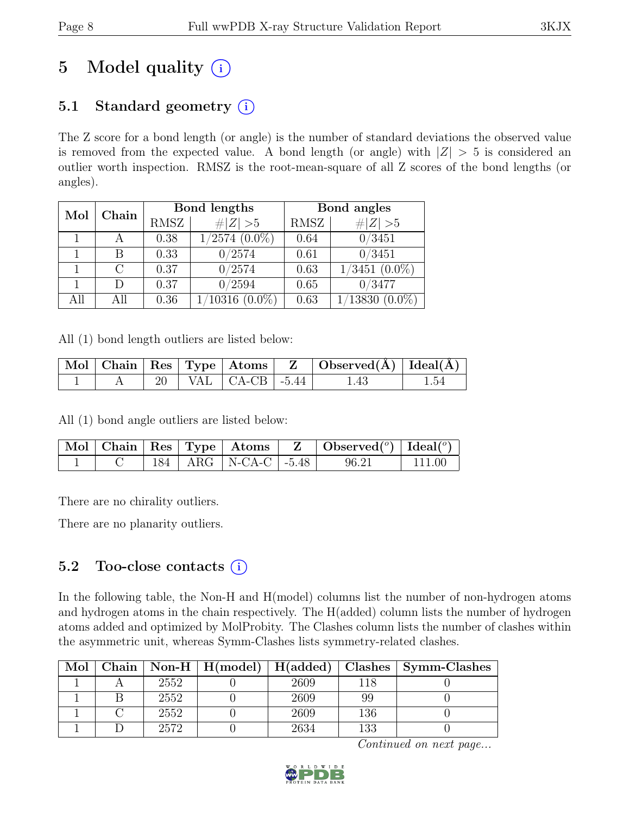# 5 Model quality  $(i)$

## 5.1 Standard geometry  $(i)$

The Z score for a bond length (or angle) is the number of standard deviations the observed value is removed from the expected value. A bond length (or angle) with  $|Z| > 5$  is considered an outlier worth inspection. RMSZ is the root-mean-square of all Z scores of the bond lengths (or angles).

| Mol | Chain |             | Bond lengths                  | Bond angles |                      |  |
|-----|-------|-------------|-------------------------------|-------------|----------------------|--|
|     |       | <b>RMSZ</b> | # $ Z  > 5$                   | RMSZ        | $\# Z  > 5$          |  |
|     |       | 0.38        | $1/2\overline{574}$ $(0.0\%)$ | 0.64        | 0/3451               |  |
|     | В     | 0.33        | 0/2574                        | 0.61        | 0/3451               |  |
|     |       | 0.37        | 0/2574                        | 0.63        | $1/3451$ $(0.0\%)$   |  |
|     | D     | 0.37        | 0/2594                        | 0.65        | 0/3477               |  |
| All | All   | 0.36        | $^{\prime}10316$<br>$(0.0\%)$ | 0.63        | 1/13830<br>$(0.0\%)$ |  |

All (1) bond length outliers are listed below:

|  |  |                                              | $\mid$ Mol $\mid$ Chain $\mid$ Res $\mid$ Type $\mid$ Atoms $\mid$ $\mid$ Z $\mid$ Observed(Å) $\mid$ Ideal(Å) $\mid$ |      |
|--|--|----------------------------------------------|-----------------------------------------------------------------------------------------------------------------------|------|
|  |  | 20   VAL $\vert$ CA-CB $\vert$ -5.44 $\vert$ | 1.43                                                                                                                  | 1.54 |

All (1) bond angle outliers are listed below:

|  |  |                            | $\boxed{\text{ Mol}}$ Chain Res Type $\boxed{\text{Atoms}}$ Z $\boxed{\text{Observed}^{(0)}}$ Ideal $(^{o})$ |        |
|--|--|----------------------------|--------------------------------------------------------------------------------------------------------------|--------|
|  |  | 184   ARG   N-CA-C   -5.48 | 96.21                                                                                                        | 111.00 |

There are no chirality outliers.

There are no planarity outliers.

### 5.2 Too-close contacts  $(i)$

In the following table, the Non-H and H(model) columns list the number of non-hydrogen atoms and hydrogen atoms in the chain respectively. The H(added) column lists the number of hydrogen atoms added and optimized by MolProbity. The Clashes column lists the number of clashes within the asymmetric unit, whereas Symm-Clashes lists symmetry-related clashes.

| Mol | Chain |      | Non-H   $H(model)$   $H(added)$   Clashes |      |     | Symm-Clashes |
|-----|-------|------|-------------------------------------------|------|-----|--------------|
|     |       | 2552 |                                           | 2609 | 118 |              |
|     |       | 2552 |                                           | 2609 | 99  |              |
|     |       | 2552 |                                           | 2609 | 136 |              |
|     |       | 2572 |                                           | 2634 | 133 |              |

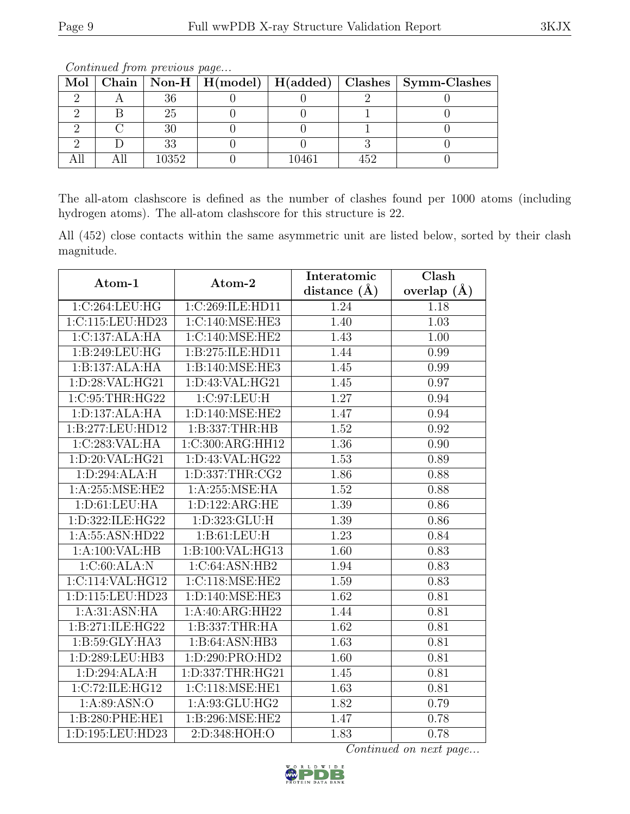|  |       |       | Mol   Chain   Non-H   H(model)   H(added)   Clashes   Symm-Clashes |
|--|-------|-------|--------------------------------------------------------------------|
|  |       |       |                                                                    |
|  | 25    |       |                                                                    |
|  |       |       |                                                                    |
|  | วว    |       |                                                                    |
|  | 10352 | 10461 |                                                                    |

The all-atom clashscore is defined as the number of clashes found per 1000 atoms (including hydrogen atoms). The all-atom clashscore for this structure is 22.

All (452) close contacts within the same asymmetric unit are listed below, sorted by their clash magnitude.

| Atom-1             | Atom-2              | Interatomic    | Clash         |
|--------------------|---------------------|----------------|---------------|
|                    |                     | distance $(A)$ | overlap $(A)$ |
| 1:C:264:LEU:HG     | 1:C:269:ILE:HD11    | 1.24           | 1.18          |
| 1:C:115:LEU:HD23   | 1:C:140:MSE:HE3     | 1.40           | 1.03          |
| 1:C:137:ALA:HA     | 1:C:140:MSE:HE2     | 1.43           | 1.00          |
| 1:B:249:LEU:HG     | 1:B:275:ILE:HD11    | 1.44           | 0.99          |
| 1:B:137:ALA:HA     | 1:B:140:MSE:HE3     | 1.45           | 0.99          |
| 1:D:28:VAL:HG21    | 1: D: 43: VAL: HG21 | 1.45           | 0.97          |
| 1:C:95:THR:HG22    | 1:C:97:LEU:H        | 1.27           | 0.94          |
| 1: D: 137: ALA: HA | 1: D: 140: MSE: HE2 | 1.47           | 0.94          |
| 1:B:277:LEU:HD12   | 1:B:337:THR:HB      | 1.52           | 0.92          |
| 1:C:283:VAL:HA     | 1:C:300:ARG:HH12    | 1.36           | 0.90          |
| 1:D:20:VAL:HG21    | 1:D:43:VAL:HG22     | 1.53           | 0.89          |
| 1: D:294: ALA:H    | 1:D:337:THR:CG2     | 1.86           | 0.88          |
| 1:A:255:MSE:HE2    | 1: A:255: MSE: HA   | 1.52           | 0.88          |
| 1: D: 61: LEU: HA  | 1: D: 122: ARG: HE  | 1.39           | 0.86          |
| 1:D:322:ILE:HG22   | 1:D:323:GLU:H       | 1.39           | 0.86          |
| 1:A:55:ASN:HD22    | 1: B: 61: LEU: H    | 1.23           | 0.84          |
| 1:A:100:VAL:HB     | 1:B:100:VAL:HG13    | 1.60           | 0.83          |
| 1:C:60:ALA:N       | 1:C:64:ASN:HB2      | 1.94           | 0.83          |
| 1:C:114:VAL:HG12   | 1:C:118:MSE:HE2     | 1.59           | 0.83          |
| 1:D:115:LEU:HD23   | 1:D:140:MSE:HE3     | 1.62           | 0.81          |
| 1: A:31: ASN: HA   | 1:A:40:ARG:HH22     | 1.44           | 0.81          |
| 1:B:271:ILE:HG22   | 1:B:337:THR:HA      | 1.62           | 0.81          |
| 1: B:59: GLY: HA3  | 1: B:64: ASN:HB3    | 1.63           | 0.81          |
| 1:D:289:LEU:HB3    | 1:D:290:PRO:HD2     | 1.60           | 0.81          |
| 1:D:294:ALA:H      | 1:D:337:THR:HG21    | 1.45           | 0.81          |
| 1:C:72:ILE:HG12    | 1:C:118:MSE:HE1     | 1.63           | 0.81          |
| 1: A:89: ASN:O     | 1:A:93:GLU:HG2      | 1.82           | 0.79          |
| 1:B:280:PHE:HE1    | 1:B:296:MSE:HE2     | 1.47           | 0.78          |
| 1:D:195:LEU:HD23   | 2:D:348:HOH:O       | 1.83           | 0.78          |

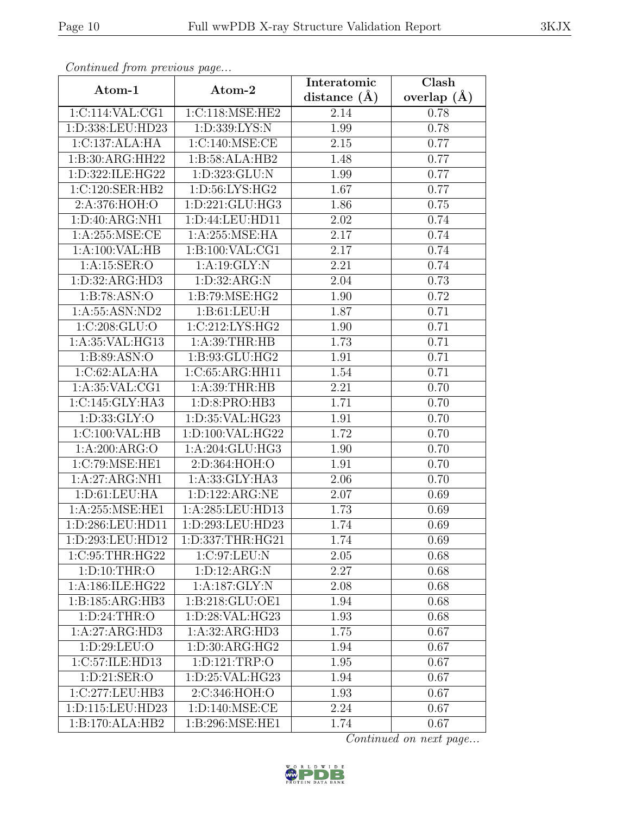| Continuea from previous page        |                     | Interatomic       | Clash         |
|-------------------------------------|---------------------|-------------------|---------------|
| Atom-1                              | Atom-2              | distance $(A)$    | overlap $(A)$ |
| 1:C:114:VAL:CG1                     | 1:C:118:MSE:HE2     | 2.14              | 0.78          |
| 1:D:338:LEU:HD23                    | 1: D: 339: LYS: N   | 1.99              | 0.78          |
| 1:C:137:ALA:HA                      | 1:C:140:MSE:CE      | 2.15              | 0.77          |
| $1:B:30:A\overline{\text{RG:H}H22}$ | 1:B:58:ALA:HB2      | 1.48              | 0.77          |
| 1:D:322:ILE:HG22                    | 1: D: 323: GLU: N   | 1.99              | 0.77          |
| 1:C:120:SER:HB2                     | 1:D:56:LYS:HG2      | 1.67              | 0.77          |
| 2:A:376:HOH:O                       | 1: D: 221: GLU: HG3 | 1.86              | 0.75          |
| 1:D:40:ARG:NH1                      | 1: D: 44: LEU: HD11 | 2.02              | 0.74          |
| 1: A:255: MSE:CE                    | 1:A:255:MSE:HA      | 2.17              | 0.74          |
| 1:A:100:VAL:HB                      | 1:B:100:VAL:CG1     | 2.17              | 0.74          |
| 1: A:15: SER:O                      | 1:A:19:GLY:N        | 2.21              | 0.74          |
| 1: D: 32: ARG: HD3                  | 1: D: 32: ARG: N    | 2.04              | 0.73          |
| 1:B:78:ASN:O                        | 1: B:79: MSE: HG2   | 1.90              | 0.72          |
| 1:A:55:ASN:ND2                      | 1: B: 61: LEU: H    | 1.87              | 0.71          |
| 1:C:208:GLU:O                       | 1:C:212:LYS:HG2     | 1.90              | 0.71          |
| 1: A:35: VAL:HG13                   | 1: A:39:THR:HB      | 1.73              | 0.71          |
| 1: B:89: ASN:O                      | 1:B:93:GLU:HG2      | 1.91              | 0.71          |
| 1:C:62:ALA:HA                       | 1:C:65:ARG:HH11     | 1.54              | 0.71          |
| 1: A:35: VAL:CG1                    | 1: A:39:THR:HB      | $\overline{2.2}1$ | 0.70          |
| 1:C:145:GLY:HA3                     | 1:D:8:PRO:HB3       | 1.71              | 0.70          |
| 1:D:33:GLY:O                        | 1:D:35:VAL:HG23     | 1.91              | 0.70          |
| 1:C:100:VAL:HB                      | 1:D:100:VAL:HG22    | 1.72              | 0.70          |
| 1:A:200:ARG:O                       | 1:A:204:GLU:HG3     | 1.90              | 0.70          |
| 1:C:79:MSE:HE1                      | 2:D:364:HOH:O       | 1.91              | 0.70          |
| 1:A:27:ARG:NH1                      | 1:A:33:GLY:HA3      | $2.06\,$          | 0.70          |
| 1: D: 61: LEU: HA                   | 1:D:122:ARG:NE      | 2.07              | 0.69          |
| 1:A:255:MSE:HE1                     | 1:A:285:LEU:HD13    | 1.73              | 0.69          |
| 1:D:286:LEU:HD11                    | 1:D:293:LEU:HD23    | 1.74              | 0.69          |
| 1:D:293:LEU:HD12                    | 1:D:337:THR:HG21    | 1.74              | 0.69          |
| 1:C:95:THR:HG22                     | 1:C:97:LEU:N        | 2.05              | 0.68          |
| 1: D: 10: THR:O                     | 1: D: 12: ARG: N    | 2.27              | 0.68          |
| 1:A:186:ILE:HG22                    | 1:A:187:GLY:N       | 2.08              | 0.68          |
| 1: B: 185: ARG: HB3                 | 1:B:218:GLU:OE1     | 1.94              | 0.68          |
| 1: D:24:THR:O                       | 1:D:28:VAL:HG23     | 1.93              | 0.68          |
| 1:A:27:ARG:HD3                      | 1:A:32:ARG:HD3      | 1.75              | 0.67          |
| 1:D:29:LEU:O                        | 1:D:30:ARG:HG2      | 1.94              | 0.67          |
| 1:C:57:ILE:HD13                     | 1: D: 121: TRP: O   | 1.95              | 0.67          |
| 1:D:21:SER:O                        | 1:D:25:VAL:HG23     | 1.94              | 0.67          |
| 1:C:277:LEU:HB3                     | 2:C:346:HOH:O       | 1.93              | 0.67          |
| 1:D:115:LEU:HD23                    | 1: D: 140: MSE: CE  | 2.24              | 0.67          |
| 1:B:170:ALA:HB2                     | 1:B:296:MSE:HE1     | 1.74              | 0.67          |

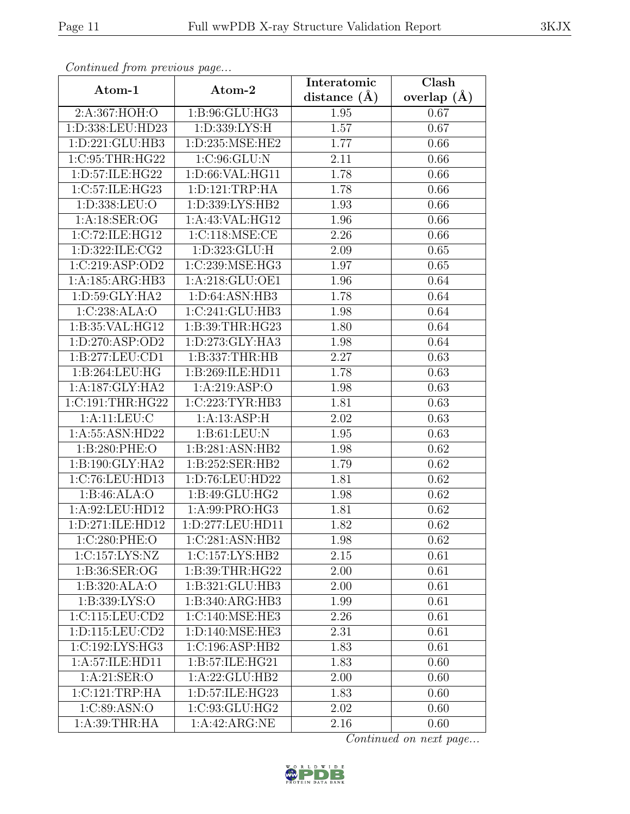| Continued from previous page |                     | Interatomic       | Clash           |
|------------------------------|---------------------|-------------------|-----------------|
| Atom-1                       | Atom-2              | distance $(A)$    | overlap $(\AA)$ |
| 2:A:367:HOH:O                | 1: B: 96: GLU: HG3  | 1.95              | 0.67            |
| 1:D:338:LEU:HD23             | 1:D:339:LYS:H       | $\overline{1.57}$ | 0.67            |
| 1: D: 221: GLU: HB3          | 1: D: 235: MSE: HE2 | 1.77              | 0.66            |
| 1:C:95:THR:HG22              | 1:C:96:GLU:N        | 2.11              | 0.66            |
| 1:D:57:ILE:HG22              | 1:D:66:VAL:HG11     | 1.78              | 0.66            |
| 1:C:57:ILE:HG23              | 1: D: 121: TRP: HA  | 1.78              | 0.66            |
| 1: D: 338: LEU: O            | 1: D: 339: LYS: HB2 | 1.93              | 0.66            |
| 1: A: 18: SER: OG            | 1:A:43:VAL:HG12     | 1.96              | 0.66            |
| 1:C:72:ILE:HG12              | 1:C:118:MSE:CE      | 2.26              | 0.66            |
| 1:D:322:ILE:CG2              | 1:D:323:GLU:H       | 2.09              | 0.65            |
| 1:C:219:ASP:OD2              | 1:C:239:MSE:HG3     | 1.97              | 0.65            |
| 1:A:185:ARG:HB3              | 1:A:218:GLU:OE1     | 1.96              | 0.64            |
| 1:D:59:GLY:HA2               | 1:D:64:ASN:HB3      | 1.78              | 0.64            |
| 1:C:238:ALA:O                | 1:C:241:GLU:HB3     | 1.98              | 0.64            |
| 1:B:35:VAL:HG12              | 1:B:39:THR:HG23     | 1.80              | 0.64            |
| 1: D: 270: ASP: OD2          | 1:D:273:GLY:HA3     | 1.98              | 0.64            |
| 1:B:277:LEU:CD1              | 1:B:337:THR:HB      | 2.27              | 0.63            |
| 1:B:264:LEU:HG               | 1:B:269:ILE:HD11    | 1.78              | 0.63            |
| 1:A:187:GLY:HA2              | 1:A:219:ASP:O       | 1.98              | 0.63            |
| 1:C:191:THR:HG22             | 1:C:223:TYR:HB3     | 1.81              | 0.63            |
| 1: A:11: LEU: C              | 1:A:13:ASP:H        | 2.02              | 0.63            |
| 1:A:55:ASN:HD22              | 1: B: 61: LEU: N    | 1.95              | 0.63            |
| 1:B:280:PHE:O                | 1:B:281:ASN:HB2     | 1.98              | 0.62            |
| 1: B: 190: GLY: HA2          | 1:B:252:SER:HB2     | 1.79              | 0.62            |
| 1:C:76:LEU:HD13              | 1:D:76:LEU:HD22     | 1.81              | 0.62            |
| 1:B:46:ALA:O                 | 1: B: 49: GLU: HG2  | 1.98              | 0.62            |
| 1:A:92:LEU:HD12              | 1:A:99:PRO:HG3      | 1.81              | 0.62            |
| 1: D: 271: ILE: HD12         | 1:D:277:LEU:HD11    | 1.82              | 0.62            |
| 1:C:280:PHE:O                | 1:C:281:ASN:HB2     | 1.98              | 0.62            |
| 1:C:157:LYS:NZ               | 1:C:157:LYS:HB2     | 2.15              | 0.61            |
| 1:B:36:SER:OG                | 1:B:39:THR:HG22     | 2.00              | 0.61            |
| 1:B:320:ALA:O                | 1:B:321:GLU:HB3     | 2.00              | 0.61            |
| 1:B:339:LYS:O                | 1:B:340:ARG:HB3     | 1.99              | 0.61            |
| 1:C:115:LEU:CD2              | 1:C:140:MSE:HE3     | 2.26              | 0.61            |
| 1: D: 115: LEU: CD2          | 1: D: 140: MSE: HE3 | 2.31              | 0.61            |
| 1:C:192:LYS:HG3              | 1:C:196:ASP:HB2     | 1.83              | 0.61            |
| 1:A:57:ILE:HD11              | 1:B:57:ILE:HG21     | 1.83              | 0.60            |
| 1:A:21:SER:O                 | 1:A:22:GLU:HB2      | 2.00              | 0.60            |
| 1:C:121:TRP:HA               | 1:D:57:ILE:HG23     | 1.83              | 0.60            |
| 1:C:89:ASN:O                 | 1:C:93:GLU:HG2      | 2.02              | 0.60            |
| 1: A:39:THR:HA               | 1:A:42:ARG:NE       | 2.16              | 0.60            |

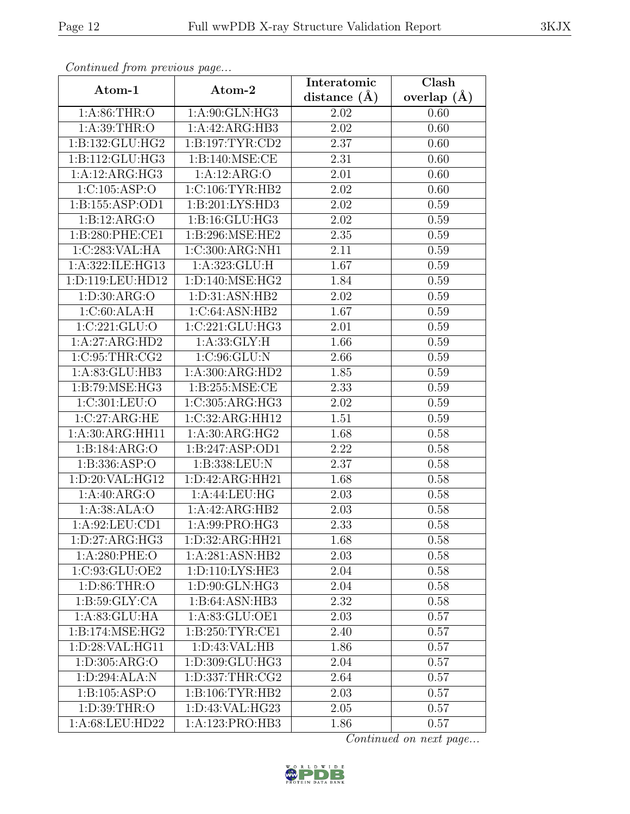| Continueu from pretious page |                                           | Interatomic       | Clash         |
|------------------------------|-------------------------------------------|-------------------|---------------|
| Atom-1                       | Atom-2                                    | distance $(A)$    | overlap $(A)$ |
| 1:A:86:THR:O                 | $1:A:90:G\overline{\text{LN}:\text{HG}3}$ | 2.02              | 0.60          |
| 1:A:39:THR:O                 | 1:A:42:ARG:HB3                            | $\overline{2.02}$ | 0.60          |
| 1:B:132:GLU:HG2              | 1: B: 197: TYR: CD2                       | 2.37              | 0.60          |
| 1:B:112:GLU:HG3              | 1:B:140:MSE:CE                            | 2.31              | 0.60          |
| 1:A:12:ARG:HG3               | 1:A:12:ARG:O                              | 2.01              | 0.60          |
| 1:C:105:ASP:O                | 1:C:106:TYR:HB2                           | 2.02              | 0.60          |
| 1:B:155:ASP:OD1              | 1:B:201:LYS:HD3                           | $2.02\,$          | 0.59          |
| 1:B:12:ARG:O                 | 1: B: 16: GLU: HG3                        | 2.02              | 0.59          |
| 1:B:280:PHE:CE1              | 1:B:296:MSE:HE2                           | 2.35              | 0.59          |
| 1:C:283:VAL:HA               | 1:C:300:ARG:NH1                           | 2.11              | 0.59          |
| 1:A:322:ILE:HG13             | 1:A:323:GLU:H                             | 1.67              | 0.59          |
| 1:D:119:LEU:HD12             | 1:D:140:MSE:HG2                           | 1.84              | 0.59          |
| 1:D:30:ARG:O                 | 1:D:31:ASN:HB2                            | 2.02              | 0.59          |
| 1:C:60:ALA:H                 | 1:C:64:ASN:HB2                            | 1.67              | 0.59          |
| 1:C:221:GLU:O                | 1:C:221:GLU:HG3                           | 2.01              | 0.59          |
| 1:A:27:ARG:HD2               | 1: A: 33: GLY: H                          | 1.66              | 0.59          |
| 1:C:95:THR:CG2               | 1:C:96:GLU:N                              | 2.66              | 0.59          |
| 1:A:83:GLU:HB3               | 1:A:300:ARG:HD2                           | 1.85              | 0.59          |
| 1:B:79:MSE:HG3               | 1: B:255: MSE:CE                          | 2.33              | 0.59          |
| 1:C:301:LEU:O                | 1:C:305:ARG:HG3                           | $2.02\,$          | 0.59          |
| 1:C:27:ARG:HE                | $1:C:32:A\overline{RG:HH12}$              | 1.51              | 0.59          |
| 1:A:30:ARG:HH11              | 1:A:30:ARG:HG2                            | 1.68              | 0.58          |
| 1:B:184:ARG:O                | 1:B:247:ASP:OD1                           | 2.22              | 0.58          |
| 1:B:336:ASP:O                | 1:B:338:LEU:N                             | 2.37              | 0.58          |
| 1: D:20: VAL: HG12           | 1: D: 42: ARG: HH21                       | 1.68              | 0.58          |
| 1:A:40:ARG:O                 | 1:A:44:LEU:HG                             | 2.03              | 0.58          |
| 1:A:38:ALA:O                 | 1:A:42:ARG:HB2                            | 2.03              | 0.58          |
| 1: A:92: LEU:CD1             | 1:A:99:PRO:HG3                            | 2.33              | 0.58          |
| 1: D: 27: ARG: HG3           | 1:D:32:ARG:HH21                           | 1.68              | 0.58          |
| 1:A:280:PHE:O                | 1:A:281:ASN:HB2                           | 2.03              | 0.58          |
| 1:C:93:GLU:OE2               | 1: D: 110: LYS: HE3                       | 2.04              | 0.58          |
| 1:D:86:THR:O                 | 1:D:90:GLN:HG3                            | 2.04              | 0.58          |
| 1: B:59: GLY:CA              | 1:B:64:ASN:HB3                            | 2.32              | 0.58          |
| 1:A:83:GLU:HA                | 1:A:83:GLU:OE1                            | 2.03              | 0.57          |
| 1:B:174:MSE:HG2              | 1: B:250: TYR: CE1                        | 2.40              | 0.57          |
| 1:D:28:VAL:HG11              | 1:D:43:VAL:HB                             | 1.86              | 0.57          |
| 1: D: 305: ARG: O            | 1:D:309:GLU:HG3                           | 2.04              | 0.57          |
| 1:D:294:ALA:N                | 1: D: 337: THR: CG2                       | 2.64              | 0.57          |
| 1:B:105:ASP:O                | 1: B: 106: TYR: HB2                       | 2.03              | 0.57          |
| 1: D: 39: THR: O             | 1:D:43:VAL:HG23                           | 2.05              | 0.57          |
| 1:A:68:LEU:HD22              | 1:A:123:PRO:HB3                           | 1.86              | 0.57          |

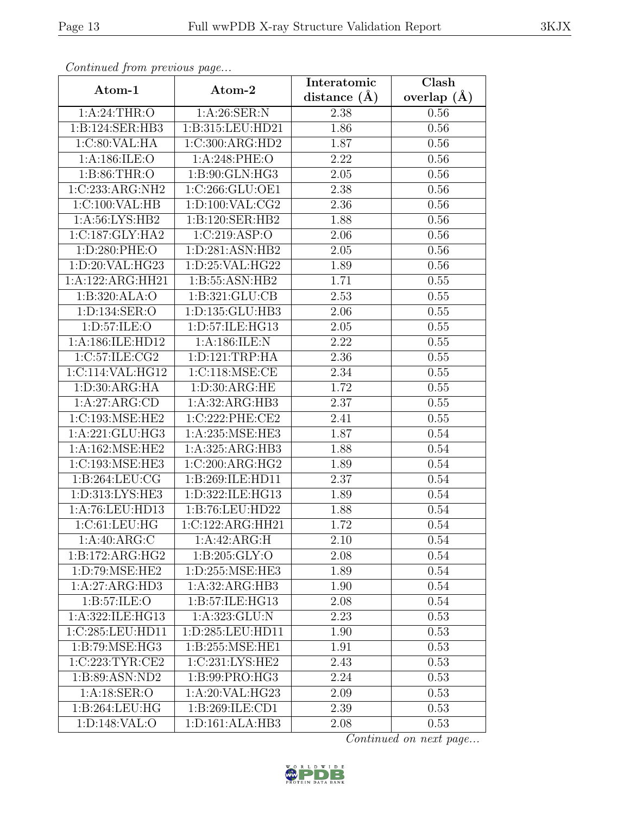| Continued from previous page                |                              | Interatomic       | Clash           |
|---------------------------------------------|------------------------------|-------------------|-----------------|
| Atom-1                                      | Atom-2                       | distance $(\AA)$  | overlap $(\AA)$ |
| 1: A:24:THR:O                               | 1: A:26: SER: N              | 2.38              | 0.56            |
| 1:B:124:SER:HB3                             | 1:B:315:LEU:HD21             | 1.86              | 0.56            |
| 1:C:80:VAL:HA                               | 1:C:300:ARG:HD2              | 1.87              | 0.56            |
| 1:A:186:ILE:O                               | 1:A:248:PHE:O                | 2.22              | 0.56            |
| 1: B:86:THR:O                               | 1:B:90:GLN:HG3               | 2.05              | 0.56            |
| 1:C:233:ARG:NH2                             | 1:C:266:GLU:OE1              | 2.38              | 0.56            |
| 1: C:100: VAL: HB                           | 1:D:100:VAL:CG2              | 2.36              | 0.56            |
| 1: A:56: LYS: HB2                           | 1:B:120:SER:HB2              | 1.88              | 0.56            |
| 1:C:187:GLY:HA2                             | 1:C:219:ASP:O                | 2.06              | 0.56            |
| 1:D:280:PHE:O                               | 1: D:281: ASN:HB2            | 2.05              | 0.56            |
| 1:D:20:VAL:HG23                             | 1: D:25:VAL:HG22             | 1.89              | 0.56            |
| 1:A:122:ARG:HH21                            | 1:B:55:ASN:HB2               | 1.71              | 0.55            |
| 1:B:320:ALA:O                               | 1:B:321:GLU:CB               | 2.53              | $0.55\,$        |
| 1:D:134:SER:O                               | 1:D:135:GLU:HB3              | 2.06              | 0.55            |
| 1:D:57:ILE:O                                | 1:D:57:ILE:HG13              | 2.05              | 0.55            |
| 1:A:186:ILE:HD12                            | 1:A:186:ILE:N                | 2.22              | 0.55            |
| 1:C:57:ILE:CG2                              | 1: D: 121: TRP: HA           | 2.36              | $0.55\,$        |
| 1:C:114:VAL:HG12                            | 1:C:118:MSE:CE               | 2.34              | 0.55            |
| 1: D:30: ARG:HA                             | 1:D:30:ARG:HE                | 1.72              | 0.55            |
| 1:A:27:ARG:CD                               | 1:A:32:ARG:HB3               | 2.37              | 0.55            |
| 1:C:193:MSE:HE2                             | 1:C:222:PHE:CE2              | $\overline{2.41}$ | 0.55            |
| 1:A:221:GLU:HG3                             | 1:A:235:MSE:HE3              | 1.87              | 0.54            |
| 1:A:162:MSE:HE2                             | 1:A:325:ARG:HB3              | 1.88              | 0.54            |
| 1:C:193:MSE:HE3                             | 1:C:200:ARG:HG2              | 1.89              | 0.54            |
| 1: B:264:LEU:CG                             | 1:B:269:ILE:HD11             | $\overline{2}.37$ | 0.54            |
| 1:D:313:LYS:HE3                             | 1:D:322:ILE:HG13             | 1.89              | 0.54            |
| 1:A:76:LEU:HD13                             | 1:B:76:LEU:HD22              | 1.88              | 0.54            |
| 1:C:61:LEU:HG                               | 1:C:122:ARG:HH21             | 1.72              | 0.54            |
| 1: A:40: ARG: C                             | 1:A:42:ARG:H                 | 2.10              | 0.54            |
| 1:B:172:ARG:HG2                             | 1: B:205: GLY:O              | 2.08              | 0.54            |
| 1:D:79:MSE:HE2                              | 1:D:255:MSE:HE3              | 1.89              | 0.54            |
| 1:A:27:ARG:HD3                              | 1:A:32:ARG:HB3               | 1.90              | 0.54            |
| 1: B:57: ILE: O                             | 1:B:57:ILE:HG13              | 2.08              | 0.54            |
| 1:A:322:ILE:HG13                            | 1:A:323:GLU:N                | 2.23              | 0.53            |
| 1:C:285:LEU:HD11                            | 1:D:285:LEU:HD11             | 1.90              | 0.53            |
| $1: B:79: \overline{\text{MSE}:\text{HG3}}$ | 1:B:255:MSE:HE1              | 1.91              | 0.53            |
| 1:C:223:TYR:CE2                             | $1:C:231:LYS:H\overline{E2}$ | 2.43              | 0.53            |
| 1:B:89:ASN:ND2                              | 1:B:99:PRO:HG3               | 2.24              | 0.53            |
| 1: A:18: SER:O                              | 1:A:20:VAL:HG23              | 2.09              | 0.53            |
| 1:B:264:LEU:HG                              | 1:B:269:ILE:CD1              | 2.39              | 0.53            |
| 1:D:148:VAL:O                               | 1:D:161:ALA:HB3              | 2.08              | 0.53            |

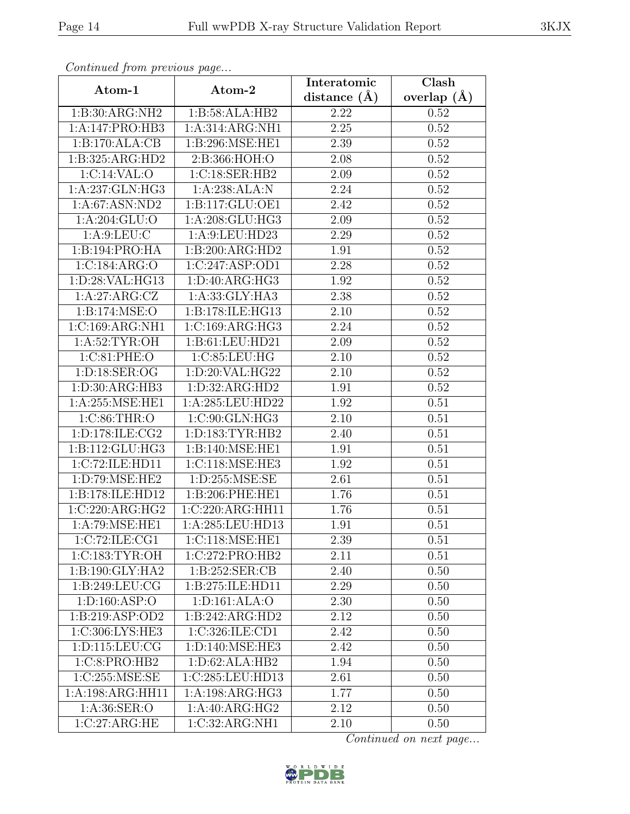| Continuea from previous page |                                            | Interatomic      | Clash         |
|------------------------------|--------------------------------------------|------------------|---------------|
| Atom-1                       | Atom-2                                     | distance $(\AA)$ | overlap $(A)$ |
| 1:B:30:ARG:NH2               | 1:B:58:ALA:HB2                             | 2.22             | 0.52          |
| 1:A:147:PRO:HB3              | 1:A:314:ARG:NH1                            | $2.25\,$         | 0.52          |
| 1:B:170:ALA:CB               | 1:B:296:MSE:HE1                            | 2.39             | 0.52          |
| 1:B:325:ARG:HD2              | 2:B:366:HOH:O                              | 2.08             | 0.52          |
| 1:C:14:VAL:O                 | 1:C:18:SER:HB2                             | 2.09             | 0.52          |
| 1:A:237:GLN:HG3              | 1:A:238:ALA:N                              | 2.24             | 0.52          |
| 1: A:67: ASN:ND2             | 1:B:117:GLU:OE1                            | 2.42             | 0.52          |
| 1:A:204:GLU:O                | 1:A:208:GLU:HG3                            | 2.09             | 0.52          |
| 1: A:9: LEU: C               | 1:A:9:LEU:HD23                             | 2.29             | 0.52          |
| 1:B:194:PRO:HA               | 1:B:200:ARG:HD2                            | 1.91             | 0.52          |
| 1:C:184:ARG:O                | 1:C:247:ASP:OD1                            | 2.28             | 0.52          |
| 1: D:28: VAL:HG13            | 1: D: 40: ARG: HG3                         | 1.92             | 0.52          |
| 1:A:27:ARG:CZ                | 1:A:33:GLY:HA3                             | 2.38             | 0.52          |
| 1:B:174:MSE:O                | 1:B:178:ILE:HG13                           | 2.10             | 0.52          |
| 1:C:169:ARG:NH1              | 1:C:169:ARG:HG3                            | 2.24             | 0.52          |
| 1: A:52: TYR:OH              | 1:B:61:LEU:HD21                            | 2.09             | 0.52          |
| 1:C:81:PHE:O                 | 1:C:85:LEU:HG                              | 2.10             | 0.52          |
| 1: D: 18: SER: OG            | 1:D:20:VAL:HG22                            | 2.10             | 0.52          |
| 1: D:30: ARG:HB3             | $1: D:32: \overline{\text{AG}:\text{HD}2}$ | 1.91             | 0.52          |
| 1: A:255: MSE: HE1           | 1:A:285:LEU:HD22                           | 1.92             | 0.51          |
| 1:C:86:THR:O                 | 1:C:90:GLN:HG3                             | 2.10             | 0.51          |
| 1:D:178:ILE:CG2              | 1: D: 183: TYR: HB2                        | 2.40             | 0.51          |
| 1:B:112:GLU:HG3              | 1:B:140:MSE:HE1                            | 1.91             | 0.51          |
| 1:C:72:ILE:HD11              | 1: C: 118: MSE: HE3                        | 1.92             | 0.51          |
| 1:D:79:MSE:HE2               | 1: D: 255: MSE: SE                         | 2.61             | 0.51          |
| 1:B:178:ILE:HD12             | 1:B:206:PHE:HE1                            | 1.76             | 0.51          |
| 1:C:220:ARG:HG2              | 1:C:220:ARG:HH11                           | 1.76             | 0.51          |
| 1:A:79:MSE:HE1               | 1:A:285:LEU:HD13                           | 1.91             | 0.51          |
| 1:C:72:ILE:CG1               | 1:C:118:MSE:HE1                            | 2.39             | 0.51          |
| 1:C:183:TYR:OH               | 1:C:272:PRO:HB2                            | 2.11             | 0.51          |
| 1:B:190:GLY:HA2              | 1: B:252: SER:CB                           | 2.40             | 0.50          |
| 1:B:249:LEU:CG               | 1:B:275:ILE:HD11                           | 2.29             | $0.50\,$      |
| 1: D: 160: ASP: O            | 1: D: 161: ALA: O                          | 2.30             | 0.50          |
| 1:B:219:ASP:OD2              | 1:B:242:ARG:HD2                            | 2.12             | 0.50          |
| 1:C:306:LYS:HE3              | 1:C:326:ILE:CD1                            | 2.42             | 0.50          |
| 1:D:115:LEU:CG               | 1:D:140:MSE:HE3                            | 2.42             | 0.50          |
| $1:C:8:PRO:H\overline{B2}$   | 1: D:62: ALA:HB2                           | 1.94             | 0.50          |
| 1:C:255:MSE:SE               | 1:C:285:LEU:HD13                           | 2.61             | 0.50          |
| 1:A:198:ARG:HH11             | 1:A:198:ARG:HG3                            | 1.77             | 0.50          |
| 1:A:36:SER:O                 | 1:A:40:ARG:HG2                             | 2.12             | 0.50          |
| 1:C:27:ARG:HE                | 1:C:32:ARG:NH1                             | 2.10             | 0.50          |

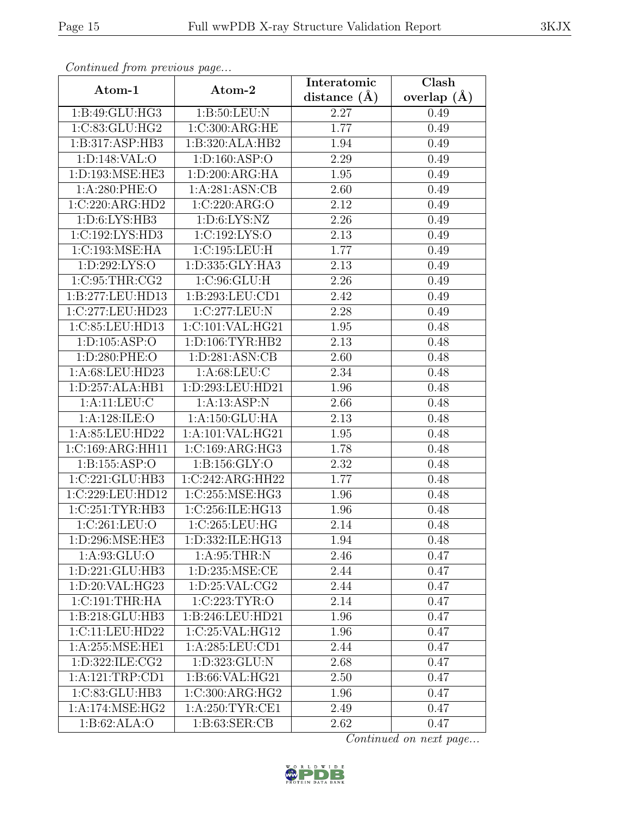| Continua from previous page |                                       | Interatomic       | $\overline{\text{Clash}}$ |
|-----------------------------|---------------------------------------|-------------------|---------------------------|
| Atom-1                      | Atom-2                                | distance $(\AA)$  | overlap $(A)$             |
| 1:B:49:GLU:HG3              | 1: B:50: LEU: N                       | 2.27              | 0.49                      |
| 1:C:83:GLU:HG2              | 1:C:300:ARG:HE                        | 1.77              | 0.49                      |
| 1:B:317:ASP:HB3             | 1:B:320:ALA:HB2                       | 1.94              | 0.49                      |
| 1:D:148:VAL:O               | 1: D: 160: ASP: O                     | 2.29              | 0.49                      |
| 1:D:193:MSE:HE3             | 1: D:200: ARG:HA                      | 1.95              | 0.49                      |
| $1: A:280:$ PHE:O           | 1:A:281:ASN:CB                        | 2.60              | 0.49                      |
| 1:C:220:ARG:HD2             | 1:C:220:ARG:O                         | 2.12              | 0.49                      |
| 1: D:6: LYS: HB3            | 1: D:6: LYS: NZ                       | 2.26              | 0.49                      |
| 1:C:192:LYS:HD3             | 1:C:192:LYS:O                         | $\overline{2.13}$ | 0.49                      |
| 1:C:193:MSE:HA              | 1:C:195:LEU:H                         | 1.77              | 0.49                      |
| 1:D:292:LYS:O               | 1:D:335:GLY:HA3                       | 2.13              | 0.49                      |
| 1:C:95:THR:CG2              | 1:C:96:GLU:H                          | 2.26              | 0.49                      |
| 1:B:277:LEU:HD13            | 1:B:293:LEU:CD1                       | 2.42              | 0.49                      |
| 1:C:277:LEU:HD23            | 1:C:277:LEU:N                         | 2.28              | 0.49                      |
| 1:C:85:LEU:HD13             | 1:C:101:VAL:HG21                      | 1.95              | 0.48                      |
| 1: D: 105: ASP: O           | 1: D: 106: TYR: HB2                   | 2.13              | 0.48                      |
| 1:D:280:PHE:O               | 1: D:281: ASN:CB                      | 2.60              | 0.48                      |
| 1:A:68:LEU:HD23             | 1: A:68:LEU:C                         | 2.34              | 0.48                      |
| 1:D:257:ALA:HB1             | 1:D:293:LEU:HD21                      | 1.96              | 0.48                      |
| 1: A: 11: LEU: C            | 1:A:13:ASP:N                          | 2.66              | 0.48                      |
| 1: A:128: ILE: O            | 1:A:150:GLU:HA                        | 2.13              | 0.48                      |
| 1:A:85:LEU:HD22             | 1:A:101:VAL:HG21                      | 1.95              | 0.48                      |
| 1:C:169:ARG:HH11            | 1:C:169:ARG:HG3                       | 1.78              | 0.48                      |
| 1:B:155:ASP:O               | 1: B: 156: GLY:O                      | 2.32              | 0.48                      |
| 1:C:221:GLU:HB3             | 1:C:242:ARG:HH22                      | 1.77              | 0.48                      |
| 1:C:229:LEU:HD12            | 1:C:255:MSE:HG3                       | 1.96              | 0.48                      |
| 1:C:251:TYR:HB3             | 1:C:256:ILE:HG13                      | 1.96              | 0.48                      |
| 1:C:261:LEU:O               | 1:C:265:LEU:HG                        | 2.14              | 0.48                      |
| 1:D:296:MSE:HE3             | 1:D:332:ILE:HG13                      | 1.94              | 0.48                      |
| 1:A:93:GLU:O                | 1: A:95:THR:N                         | 2.46              | 0.47                      |
| 1: D: 221: GLU: HB3         | $1: D: 235: \overline{\text{MSE:CE}}$ | 2.44              | 0.47                      |
| 1:D:20:VAL:HG23             | 1: D:25: VAL:CG2                      | 2.44              | 0.47                      |
| 1:C:191:THR:HA              | 1:C:223:TYR:O                         | 2.14              | 0.47                      |
| 1:B:218:GLU:HB3             | 1:B:246:LEU:HD21                      | 1.96              | 0.47                      |
| 1:C:11:LEU:HD22             | 1:C:25:VAL:HG12                       | 1.96              | 0.47                      |
| 1:A:255:MSE:HE1             | 1:A:285:LEU:CD1                       | 2.44              | 0.47                      |
| 1: D: 322: ILE: CG2         | 1:D:323:GLU:N                         | 2.68              | 0.47                      |
| 1:A:121:TRP:CD1             | 1:B:66:VAL:HG21                       | 2.50              | 0.47                      |
| 1:C:83:GLU:HB3              | 1:C:300:ARG:HG2                       | 1.96              | 0.47                      |
| 1: A:174: MSE: HG2          | 1: A:250: TYR: CE1                    | 2.49              | 0.47                      |
| 1:B:62:ALA:O                | 1: B:63: SER:CB                       | 2.62              | 0.47                      |

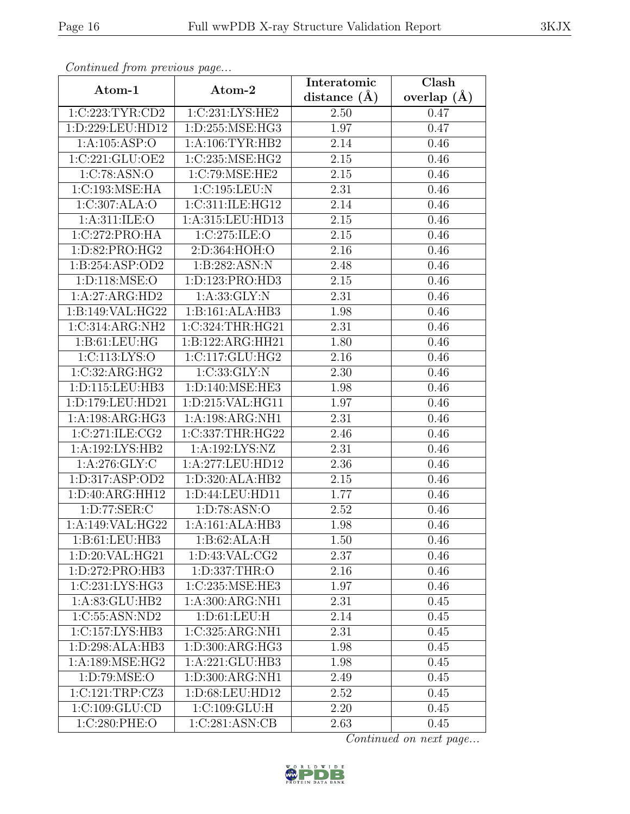| Continuea from previous page |                     | Interatomic       | Clash         |
|------------------------------|---------------------|-------------------|---------------|
| Atom-1                       | Atom-2              | distance $(\AA)$  | overlap $(A)$ |
| 1:C:223:TYR:CD2              | 1:C:231:LYS:HE2     | 2.50              | 0.47          |
| 1:D:229:LEU:HD12             | 1:D:255:MSE:HG3     | 1.97              | 0.47          |
| 1: A: 105: ASP: O            | 1: A:106: TYR:HB2   | 2.14              | 0.46          |
| 1:C:221:GLU:OE2              | 1:C:235:MSE:HG2     | $\overline{2}.15$ | 0.46          |
| 1:C:78:ASN:O                 | 1:C:79:MSE:HE2      | 2.15              | 0.46          |
| 1:C:193:MSE:HA               | 1:C:195:LEU:N       | 2.31              | 0.46          |
| 1:C:307:ALA:O                | 1:C:311:ILE:HG12    | 2.14              | 0.46          |
| 1: A:311: ILE: O             | 1:A:315:LEU:HD13    | 2.15              | 0.46          |
| 1:C:272:PRO:HA               | 1:C:275:ILE:O       | $\overline{2}.15$ | 0.46          |
| 1:D:82:PRO:HG2               | 2:D:364:HOH:O       | 2.16              | 0.46          |
| 1:B:254:ASP:OD2              | 1:B:282:ASN:N       | 2.48              | 0.46          |
| 1: D: 118: MSE: O            | 1: D: 123: PRO: HD3 | 2.15              | 0.46          |
| 1:A:27:ARG:HD2               | 1: A: 33: GLY:N     | 2.31              | 0.46          |
| 1:B:149:VAL:HG22             | 1:B:161:ALA:HB3     | 1.98              | 0.46          |
| 1:C:314:ARG:NH2              | 1:C:324:THR:HG21    | 2.31              | 0.46          |
| 1:B:61:LEU:HG                | 1:B:122:ARG:HH21    | 1.80              | 0.46          |
| 1:C:113:LYS:O                | 1:C:117:GLU:HG2     | 2.16              | 0.46          |
| 1:C:32:ARG:HG2               | 1:C:33:GLY:N        | 2.30              | 0.46          |
| 1:D:115:LEU:HB3              | 1:D:140:MSE:HE3     | 1.98              | 0.46          |
| 1:D:179:LEU:HD21             | 1:D:215:VAL:HG11    | 1.97              | 0.46          |
| 1:A:198:ARG:HG3              | 1:A:198:ARG:NH1     | 2.31              | 0.46          |
| 1:C:271:ILE:CG2              | 1:C:337:THR:HG22    | 2.46              | 0.46          |
| 1:A:192:LYS:HB2              | 1:A:192:LYS:NZ      | 2.31              | 0.46          |
| 1:A:276:GLY:C                | 1:A:277:LEU:HD12    | 2.36              | 0.46          |
| 1: D: 317: ASP: OD2          | 1: D: 320: ALA: HB2 | 2.15              | 0.46          |
| 1:D:40:ARG:HH12              | 1: D:44: LEU:HD11   | 1.77              | 0.46          |
| 1:D:77:SER:C                 | 1:D:78:ASN:O        | 2.52              | 0.46          |
| 1:A:149:VAL:HG22             | 1:A:161:ALA:HB3     | 1.98              | 0.46          |
| 1:B:61:LEU:HB3               | 1:B:62:ALA:H        | 1.50              | 0.46          |
| 1: D:20: VAL: HG21           | 1: D: 43: VAL: CG2  | 2.37              | 0.46          |
| 1:D:272:PRO:HB3              | 1:D:337:THR:O       | 2.16              | 0.46          |
| 1:C:231:LYS:HG3              | 1:C:235:MSE:HE3     | 1.97              | 0.46          |
| 1: A:83: GLU:HB2             | 1:A:300:ARG:NH1     | 2.31              | 0.45          |
| 1:C:55:ASN:ND2               | 1: D:61: LEU: H     | 2.14              | 0.45          |
| $1:C:157:LYS:H\overline{B3}$ | 1:C:325:ARG:NH1     | 2.31              | 0.45          |
| 1:D:298:ALA:HB3              | 1:D:300:ARG:HG3     | 1.98              | 0.45          |
| 1: A:189: MSE: HG2           | 1:A:221:GLU:HB3     | 1.98              | 0.45          |
| 1:D:79:MSE:O                 | 1:D:300:ARG:NH1     | 2.49              | 0.45          |
| 1:C:121:TRP:CZ3              | 1:D:68:LEU:HD12     | 2.52              | 0.45          |
| 1:C:109:GLU:CD               | 1:C:109:GLU:H       | 2.20              | 0.45          |
| 1:C:280:PHE:O                | 1:C:281:ASN:CB      | 2.63              | 0.45          |

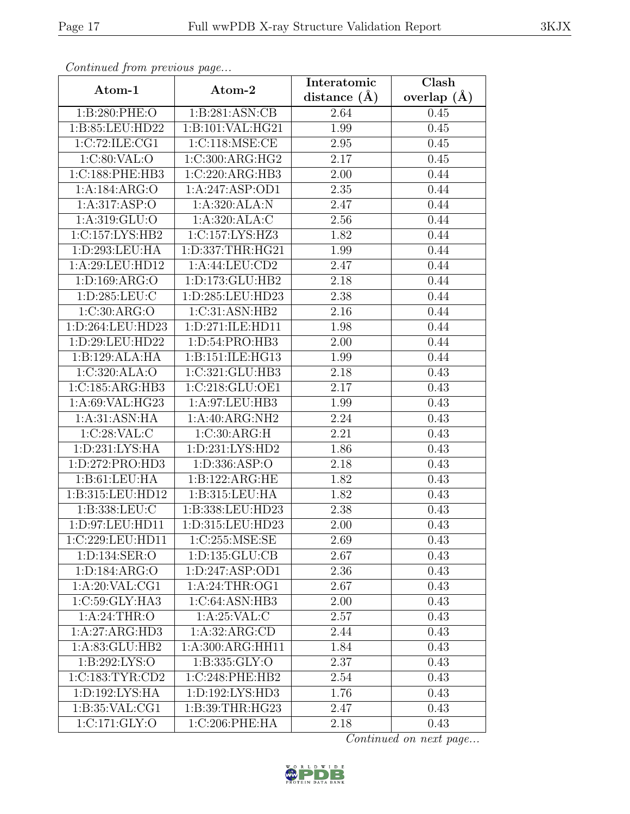| Continueu from pretious page |                      | Interatomic       | Clash           |
|------------------------------|----------------------|-------------------|-----------------|
| Atom-1                       | Atom-2               | distance $(A)$    | overlap $(\AA)$ |
| 1:B:280:PHE:O                | 1:B:281:ASN:CB       | 2.64              | 0.45            |
| 1:B:85:LEU:HD22              | 1:B:101:VAL:HG21     | 1.99              | 0.45            |
| 1:C:72:ILE:CG1               | 1:C:118:MSE:CE       | 2.95              | 0.45            |
| 1:C:80:VAL:O                 | 1:C:300:ARG:HG2      | 2.17              | 0.45            |
| 1:C:188:PHE:HB3              | 1:C:220:ARG:HB3      | 2.00              | 0.44            |
| 1:A:184:ARG:O                | 1:A:247:ASP:OD1      | 2.35              | 0.44            |
| 1:A:317:ASP:O                | 1:A:320:ALA:N        | 2.47              | 0.44            |
| 1: A: 319: GLU: O            | 1:A:320:ALA:C        | 2.56              | 0.44            |
| 1:C:157:LYS:HB2              | 1:C:157:LYS:HZ3      | 1.82              | 0.44            |
| 1:D:293:LEU:HA               | 1: D: 337: THR: HG21 | 1.99              | 0.44            |
| 1:A:29:LEU:HD12              | 1:A:44:LEU:CD2       | 2.47              | 0.44            |
| 1: D: 169: ARG: O            | 1:D:173:GLU:HB2      | 2.18              | 0.44            |
| 1:D:285:LEU:C                | 1:D:285:LEU:HD23     | 2.38              | 0.44            |
| 1:C:30:ARG:O                 | 1:C:31:ASN:HB2       | 2.16              | 0.44            |
| 1:D:264:LEU:HD23             | 1:D:271:ILE:HD11     | 1.98              | 0.44            |
| 1:D:29:LEU:HD22              | 1:D:54:PRO:HB3       | 2.00              | 0.44            |
| 1:B:129:ALA:HA               | 1:B:151:ILE:HG13     | 1.99              | 0.44            |
| 1:C:320:ALA:O                | 1:C:321:GLU:HB3      | 2.18              | 0.43            |
| 1:C:185:ARG:HB3              | 1:C:218:GLU:OE1      | 2.17              | 0.43            |
| 1: A:69: VAL: HG23           | 1:A:97:LEU:HB3       | 1.99              | 0.43            |
| 1: A:31: ASN: HA             | 1:A:40:ARG:NH2       | 2.24              | 0.43            |
| 1:C:28:VAL:CC                | 1:C:30:ARG:H         | 2.21              | 0.43            |
| 1: D: 231: LYS: HA           | 1: D: 231: LYS: HD2  | 1.86              | 0.43            |
| 1:D:272:PRO:HD3              | 1:D:336:ASP:O        | $\overline{2.18}$ | 0.43            |
| 1: B: 61: LEU: HA            | 1:B:122:ARG:HE       | 1.82              | 0.43            |
| 1:B:315:LEU:HD12             | 1:B:315:LEU:HA       | 1.82              | 0.43            |
| 1:B:338:LEU:C                | 1:B:338:LEU:HD23     | 2.38              | 0.43            |
| 1:D:97:LEU:HD11              | 1:D:315:LEU:HD23     | 2.00              | 0.43            |
| 1:C:229:LEU:HD11             | 1:C:255:MSE:SE       | 2.69              | 0.43            |
| 1:D:134:SER:O                | 1: D: 135: GLU: CB   | 2.67              | 0.43            |
| 1:D:184:ARG:O                | 1: D: 247: ASP: OD1  | 2.36              | 0.43            |
| 1: A:20: VAL:CG1             | 1: A:24:THR:OG1      | 2.67              | 0.43            |
| 1:C:59:GLY:HA3               | 1:C:64:ASN:HB3       | 2.00              | 0.43            |
| 1: A:24:THR:O                | 1: A:25:VAL: C       | 2.57              | 0.43            |
| 1:A:27:ARG:HD3               | 1:A:32:ARG:CD        | 2.44              | 0.43            |
| 1:A:83:GLU:HB2               | 1:A:300:ARG:HH11     | 1.84              | 0.43            |
| 1: B:292: LYS:O              | 1: B: 335: GLY:O     | 2.37              | 0.43            |
| 1:C:183:TYR:CD2              | 1:C:248:PHE:HB2      | 2.54              | 0.43            |
| 1: D: 192: LYS: HA           | 1: D: 192: LYS: HD3  | 1.76              | 0.43            |
| 1: B:35: VAL:CG1             | 1:B:39:THR:HG23      | 2.47              | 0.43            |
| $1:C:171:\overline{GLY:O}$   | 1:C:206:PHE:HA       | 2.18              | 0.43            |

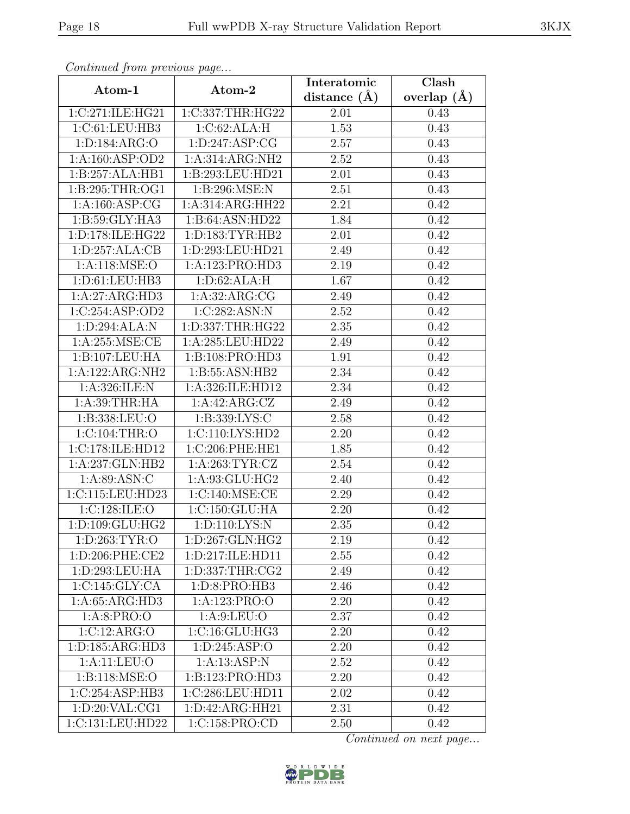| Continuea from previous page |                      | Interatomic       | Clash         |
|------------------------------|----------------------|-------------------|---------------|
| Atom-1                       | Atom-2               | distance $(A)$    | overlap $(A)$ |
| 1:C:271:ILE:HG21             | 1:C:337:THR:HG22     | 2.01              | 0.43          |
| 1:C:61:LEU:HB3               | 1:C:62:ALA:H         | $\overline{1.53}$ | 0.43          |
| 1: D: 184: ARG: O            | 1: D: 247: ASP: CG   | 2.57              | 0.43          |
| 1:A:160:ASP:OD2              | 1:A:314:ARG:NH2      | 2.52              | 0.43          |
| 1:B:257:ALA:HB1              | 1:B:293:LEU:HD21     | 2.01              | 0.43          |
| 1:B:295:THR:OG1              | 1:B:296:MSE:N        | 2.51              | 0.43          |
| $1:A:160:A\overline{SP:CG}$  | 1:A:314:ARG:HH22     | $\overline{2.21}$ | 0.42          |
| 1: B:59: GLY: HA3            | 1:B:64:ASN:HD22      | 1.84              | 0.42          |
| 1:D:178:ILE:HG22             | 1: D: 183: TYR: HB2  | 2.01              | 0.42          |
| 1: D: 257: ALA: CB           | 1:D:293:LEU:HD21     | 2.49              | 0.42          |
| 1: A:118: MSE:O              | 1:A:123:PRO:HD3      | 2.19              | 0.42          |
| 1:D:61:LEU:HB3               | 1: D:62: ALA:H       | 1.67              | 0.42          |
| 1:A:27:ARG:HD3               | 1: A:32: ARG:CG      | 2.49              | 0.42          |
| 1:C:254:ASP:OD2              | 1:C:282:ASN:N        | 2.52              | 0.42          |
| 1:D:294:ALA:N                | 1:D:337:THR:HG22     | 2.35              | 0.42          |
| 1: A:255: MSE:CE             | 1:A:285:LEU:HD22     | 2.49              | 0.42          |
| 1:B:107:LEU:HA               | 1:B:108:PRO:HD3      | 1.91              | 0.42          |
| 1:A:122:ARG:NH2              | 1:B:55:ASN:HB2       | 2.34              | 0.42          |
| 1:A:326:ILE:N                | 1:A:326:ILE:HD12     | 2.34              | 0.42          |
| 1: A:39:THR:HA               | 1:A:42:ARG:CZ        | 2.49              | 0.42          |
| 1:B:338:LEU:O                | 1:B:339:LYS:C        | 2.58              | 0.42          |
| 1:C:104:THR:O                | 1:C:110:LYS:HD2      | 2.20              | 0.42          |
| 1:C:178:ILE:HD12             | 1:C:206:PHE:HE1      | 1.85              | 0.42          |
| 1:A:237:GLN:HB2              | 1: A:263: TYR: CZ    | 2.54              | 0.42          |
| 1: A:89: ASN: C              | 1:A:93:GLU:HG2       | 2.40              | 0.42          |
| 1:C:115:LEU:HD23             | 1:C:140:MSE:CE       | 2.29              | 0.42          |
| 1:C:128:ILE:O                | 1:C:150:GLU:HA       | 2.20              | 0.42          |
| 1:D:109:GLU:HG2              | 1:D:110:LYS:N        | 2.35              | 0.42          |
| 1: D: 263: TYR: O            | 1:D:267:GLN:HG2      | 2.19              | 0.42          |
| 1:D:206:PHE:CE2              | 1: D: 217: ILE: HD11 | 2.55              | 0.42          |
| 1: D: 293: LEU: HA           | 1:D:337:THR:CG2      | 2.49              | 0.42          |
| 1:C:145:GLY:CA               | 1:D:8:PRO:HB3        | 2.46              | 0.42          |
| 1:A:65:ARG:HD3               | 1:A:123:PRO:O        | 2.20              | 0.42          |
| 1: A:8: PRO:O                | 1: A:9: LEU:O        | 2.37              | 0.42          |
| 1:C:12:ARG:O                 | 1:C:16:GLU:HG3       | 2.20              | 0.42          |
| 1: D: 185: ARG: HD3          | 1: D:245: ASP:O      | 2.20              | 0.42          |
| 1: A: 11: LEU: O             | 1: A: 13: ASP: N     | 2.52              | 0.42          |
| 1:B:118:MSE:O                | 1:B:123:PRO:HD3      | 2.20              | 0.42          |
| 1:C:254:ASP:HB3              | 1:C:286:LEU:HD11     | 2.02              | 0.42          |
| 1: D:20: VAL:CG1             | 1: D: 42: ARG: HH21  | 2.31              | 0.42          |
| 1:C:131:LEU:HD22             | 1:C:158:PRO:CD       | 2.50              | 0.42          |

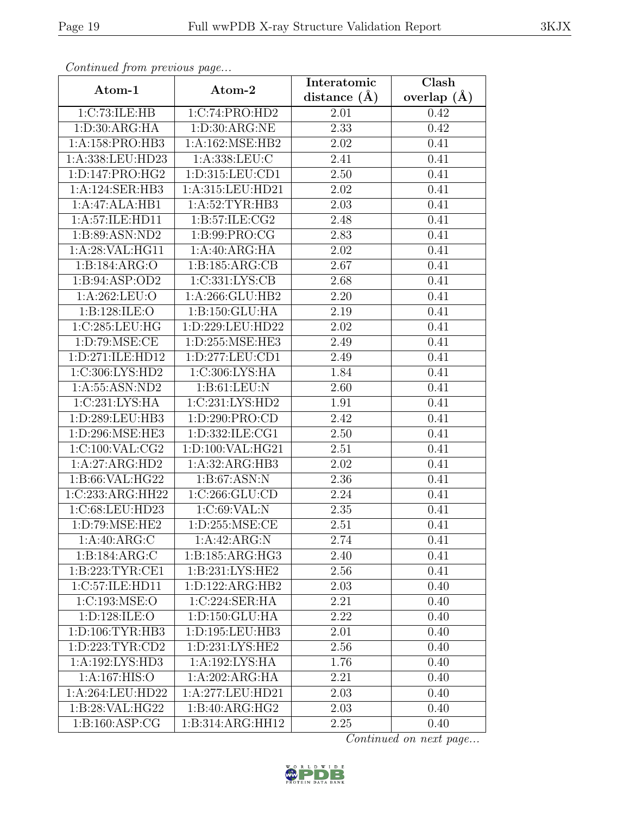| Continued from previous page |                    | Interatomic       | Clash         |
|------------------------------|--------------------|-------------------|---------------|
| Atom-1                       | Atom-2             | distance $(\AA)$  | overlap $(A)$ |
| 1:C:73:ILE:HB                | 1:C:74:PRO:HD2     | 2.01              | 0.42          |
| 1: D:30: ARG:HA              | 1: D:30: ARG:NE    | 2.33              | 0.42          |
| 1:A:158:PRO:HB3              | 1:A:162:MSE:HB2    | 2.02              | 0.41          |
| 1:A:338:LEU:HD23             | 1:A:338:LEU:C      | $\overline{2}.41$ | 0.41          |
| 1:D:147:PRO:HG2              | 1:D:315:LEU:CD1    | $\overline{2.50}$ | 0.41          |
| 1:A:124:SER:HB3              | 1:A:315:LEU:HD21   | 2.02              | 0.41          |
| 1:A:47:ALA:HB1               | 1: A:52:TYR:HB3    | 2.03              | 0.41          |
| 1:A:57:ILE:HD11              | 1: B:57: ILE: CG2  | 2.48              | 0.41          |
| 1:B:89:ASN:ND2               | 1:B:99:PRO:CG      | 2.83              | 0.41          |
| 1:A:28:VAL:HG11              | 1:A:40:ARG:HA      | 2.02              | 0.41          |
| 1:B:184:ARG:O                | 1:B:185:ARG:CB     | 2.67              | 0.41          |
| 1: B: 94: ASP: OD2           | 1:C:331:LYS:CB     | 2.68              | 0.41          |
| 1:A:262:LEU:O                | 1:A:266:GLU:HB2    | 2.20              | 0.41          |
| 1:B:128:ILE:O                | 1:B:150:GLU:HA     | 2.19              | 0.41          |
| 1:C:285:LEU:HG               | 1:D:229:LEU:HD22   | 2.02              | 0.41          |
| 1: D:79: MSE: CE             | 1:D:255:MSE:HE3    | 2.49              | 0.41          |
| 1:D:271:ILE:HD12             | 1:D:277:LEU:CD1    | 2.49              | 0.41          |
| 1:C:306:LYS:HD2              | 1:C:306:LYS:HA     | 1.84              | 0.41          |
| 1: A: 55: ASN: ND2           | 1: B: 61: LEU: N   | 2.60              | 0.41          |
| 1:C:231:LYS:HA               | 1:C:231:LYS:HD2    | 1.91              | 0.41          |
| 1:D:289:LEU:HB3              | 1:D:290:PRO:CD     | 2.42              | 0.41          |
| 1:D:296:MSE:HE3              | 1:D:332:ILE:CG1    | 2.50              | 0.41          |
| 1:C:100:VAL:CG2              | 1:D:100:VAL:HG21   | 2.51              | 0.41          |
| 1:A:27:ARG:HD2               | 1:A:32:ARG:HB3     | 2.02              | 0.41          |
| 1:B:66:VAL:HG22              | 1: B:67: ASN: N    | 2.36              | 0.41          |
| 1:C:233:ARG:HH22             | 1:C:266:GLU:CD     | $\overline{2}.24$ | 0.41          |
| 1:C:68:LEU:HD23              | 1:C:69:VAL:N       | 2.35              | 0.41          |
| 1:D:79:MSE:HE2               | 1: D: 255: MSE: CE | 2.51              | 0.41          |
| 1: A:40: ARG: C              | 1:A:42:ARG:N       | 2.74              | 0.41          |
| 1:B:184:ARG:C                | 1:B:185:ARG:HG3    | 2.40              | 0.41          |
| 1: B: 223: TYR: CE1          | 1:B:231:LYS:HE2    | 2.56              | 0.41          |
| 1:C:57:ILE:HD11              | 1:D:122:ARG:HB2    | 2.03              | 0.40          |
| 1:C:193:MSE:O                | 1:C:224:SER:HA     | 2.21              | 0.40          |
| 1:D:128:ILE:O                | 1: D: 150: GLU: HA | 2.22              | 0.40          |
| 1: D: 106: TYR: HB3          | 1:D:195:LEU:HB3    | 2.01              | 0.40          |
| 1:D:223:TYR:CD2              | 1:D:231:LYS:HE2    | 2.56              | 0.40          |
| 1:A:192:LYS:HD3              | 1:A:192:LYS:HA     | 1.76              | 0.40          |
| 1:A:167:HIS:O                | 1:A:202:ARG:HA     | 2.21              | 0.40          |
| 1:A:264:LEU:HD22             | 1:A:277:LEU:HD21   | 2.03              | 0.40          |
| 1:B:28:VAL:HG22              | 1:B:40:ARG:HG2     | 2.03              | 0.40          |
| 1: B: 160: ASP: CG           | 1:B:314:ARG:HH12   | 2.25              | 0.40          |

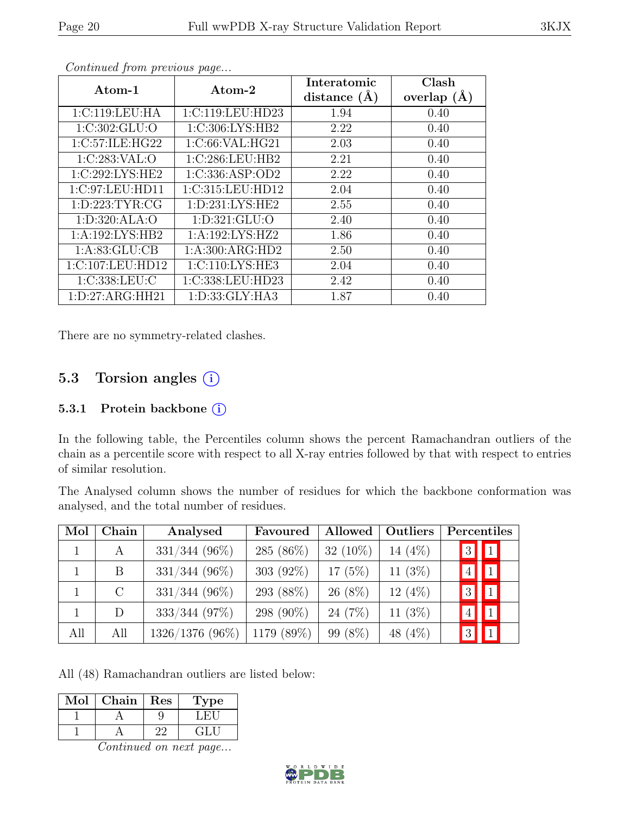| Atom-1              | Atom-2              | Interatomic      | Clash           |
|---------------------|---------------------|------------------|-----------------|
|                     |                     | distance $(\AA)$ | overlap $(\AA)$ |
| 1:C:119:LEU:HA      | 1:C:119:LEU:HD23    | 1.94             | 0.40            |
| 1:C:302:GLU:O       | 1:C:306:LYS:HB2     | 2.22             | 0.40            |
| 1:C:57:ILE:HG22     | 1:C:66:VAL:HG21     | 2.03             | 0.40            |
| 1:C:283:VAL:O       | 1:C:286:LEU:HB2     | 2.21             | 0.40            |
| 1:C:292:LYS:HE2     | 1:C:336:ASP:OD2     | 2.22             | 0.40            |
| 1:C:97:LEU:HD11     | 1:C:315:LEU:HD12    | 2.04             | 0.40            |
| 1: D: 223: TYR: CG  | 1: D: 231: LYS: HE2 | 2.55             | 0.40            |
| 1:D:320:ALA:O       | 1:D:321:GLU:O       | 2.40             | 0.40            |
| 1:A:192:LYS:HB2     | 1:A:192:LYS:HZ2     | 1.86             | 0.40            |
| 1: A:83: GLU:CB     | 1:A:300:ARG:HD2     | 2.50             | 0.40            |
| 1:C:107:LEU:HD12    | 1: C: 110: LYS: HE3 | 2.04             | 0.40            |
| 1:C:338:LEU:C       | 1:C:338:LEU:HD23    | 2.42             | 0.40            |
| 1: D: 27: ARG: HH21 | 1: D: 33: GLY: HA3  | 1.87             | 0.40            |

There are no symmetry-related clashes.

### 5.3 Torsion angles  $(i)$

#### 5.3.1 Protein backbone ①

In the following table, the Percentiles column shows the percent Ramachandran outliers of the chain as a percentile score with respect to all X-ray entries followed by that with respect to entries of similar resolution.

The Analysed column shows the number of residues for which the backbone conformation was analysed, and the total number of residues.

| Mol | Chain   | Analysed          | Favoured     | Allowed     | Outliers   | Percentiles                             |                       |
|-----|---------|-------------------|--------------|-------------|------------|-----------------------------------------|-----------------------|
|     | A       | $331/344$ (96%)   | 285 $(86\%)$ | 32 $(10\%)$ | 14 $(4\%)$ | $3\vert$                                | $\vert \vert 1 \vert$ |
|     | B       | $331/344$ (96%)   | 303 $(92\%)$ | $17(5\%)$   | 11 $(3%)$  | $\overline{4}$ $\overline{\phantom{1}}$ | $\vert 1 \vert$       |
|     | $\rm C$ | $331/344$ (96%)   | 293 (88%)    | $26(8\%)$   | $12(4\%)$  | $3\vert$                                | $\P$                  |
|     | D       | $333/344$ (97%)   | 298 (90%)    | 24 (7%)     | 11 $(3%)$  | $4\vert$                                | $\vert$ 1             |
| All | All     | $1326/1376$ (96%) | 1179 (89%)   | 99 (8%)     | 48 (4%)    | $3\vert$                                | $\vert$ 1             |

All (48) Ramachandran outliers are listed below:

| Mol | Chain | Res | /pe   |
|-----|-------|-----|-------|
|     |       |     |       |
|     |       |     | الظفا |

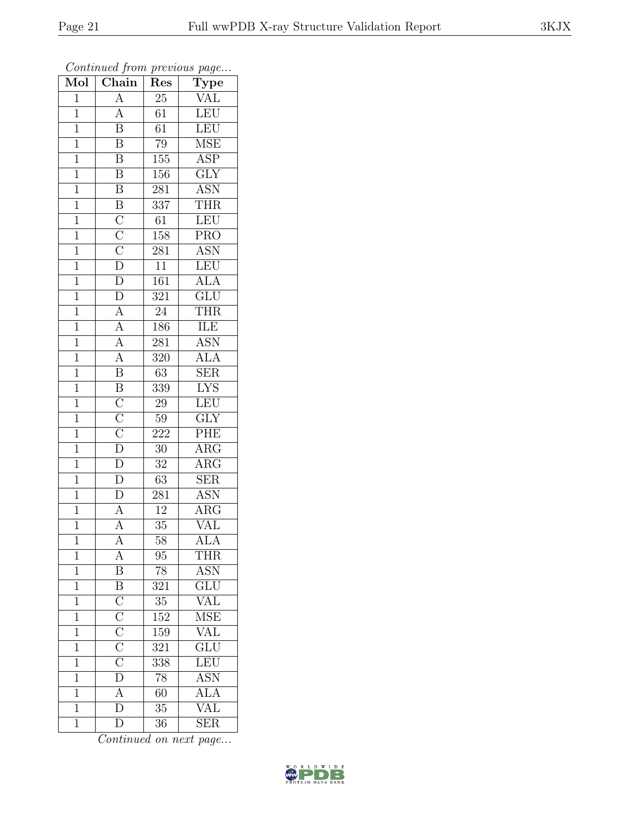| Mol            | 1.11<br>$\overline{\text{Chain}}$                                                                                                                                                          | $\mathbf{r}$ .<br>$\overline{\text{Res}}$ | $r - 3$<br><b>Type</b>         |
|----------------|--------------------------------------------------------------------------------------------------------------------------------------------------------------------------------------------|-------------------------------------------|--------------------------------|
| $\mathbf{1}$   | $\overline{A}$                                                                                                                                                                             | $25\,$                                    | <b>VAL</b>                     |
| $\overline{1}$ | $\overline{A}$                                                                                                                                                                             | 61                                        | LEU                            |
| $\overline{1}$ | $\overline{\mathbf{B}}$                                                                                                                                                                    | 61                                        | LEU                            |
| $\mathbf{1}$   | $\overline{\mathrm{B}}$                                                                                                                                                                    | 79                                        | <b>MSE</b>                     |
| $\overline{1}$ | $\overline{\mathbf{B}}$                                                                                                                                                                    | 155                                       | $\overline{\text{ASP}}$        |
| $\mathbf{1}$   | $\overline{\mathrm{B}}$                                                                                                                                                                    | 156                                       | $\overline{GLY}$               |
| $\overline{1}$ | $\boldsymbol{B}$                                                                                                                                                                           | 281                                       | <b>ASN</b>                     |
| $\overline{1}$ | $\overline{B}$                                                                                                                                                                             | 337                                       | <b>THR</b>                     |
| $\mathbf{1}$   |                                                                                                                                                                                            | 61                                        | LEU                            |
| $\overline{1}$ |                                                                                                                                                                                            | 158                                       | $\overline{\text{PRO}}$        |
| $\overline{1}$ |                                                                                                                                                                                            | 281                                       | <b>ASN</b>                     |
| $\overline{1}$ |                                                                                                                                                                                            | $\overline{11}$                           | LEU                            |
| $\mathbf{1}$   |                                                                                                                                                                                            | 161                                       | <b>ALA</b>                     |
| $\mathbf{1}$   | $\frac{\overline{C}}{\overline{C}} \frac{\overline{C}}{\overline{D}} \frac{\overline{D}}{\overline{D}} \frac{\overline{D}}{\overline{D}}}{\overline{A}} \frac{\overline{A}}{\overline{A}}$ | $\overline{321}$                          | $\overline{\text{GLU}}$        |
| $\overline{1}$ |                                                                                                                                                                                            | $24\,$                                    | <b>THR</b>                     |
| $\mathbf 1$    |                                                                                                                                                                                            | 186                                       | ILE                            |
| $\overline{1}$ |                                                                                                                                                                                            | $\overline{28}1$                          | <b>ASN</b>                     |
| $\mathbf{1}$   |                                                                                                                                                                                            | 320                                       | <b>ALA</b>                     |
| $\mathbf{1}$   | $\overline{\mathbf{B}}$                                                                                                                                                                    | $63\,$                                    | <b>SER</b>                     |
| $\mathbf{1}$   | $\overline{B}$                                                                                                                                                                             | 339                                       | $\overline{\text{LYS}}$        |
| $\overline{1}$ |                                                                                                                                                                                            | 29                                        | LEU                            |
| $\overline{1}$ | $\frac{\overline{C}}{\overline{C}}$ $\frac{\overline{C}}{\overline{D}}$                                                                                                                    | $59\,$                                    | $\overline{\text{GLY}}$        |
| $\mathbf 1$    |                                                                                                                                                                                            | $\overline{222}$                          | PHE                            |
| $\mathbf{1}$   |                                                                                                                                                                                            | $30\,$                                    | $\rm{ARG}$                     |
| $\mathbf{1}$   | $\overline{\rm D}$                                                                                                                                                                         | 32                                        | $\rm{ARG}$                     |
| $\mathbf 1$    | $\overline{\rm D}$                                                                                                                                                                         | 63                                        | <b>SER</b>                     |
| $\overline{1}$ | $\overline{D}$                                                                                                                                                                             | 281                                       | $\overline{\mathrm{ASN}}$      |
| $\mathbf 1$    | $\overline{\rm A}$                                                                                                                                                                         | 12                                        | $\overline{\text{A}}\text{RG}$ |
| $\overline{1}$ | $\overline{\rm A}$                                                                                                                                                                         | 35                                        | $\overline{\text{VAL}}$        |
| 1              | А                                                                                                                                                                                          | 58                                        | <b>ALA</b>                     |
| $\mathbf 1$    | $\overline{A}$                                                                                                                                                                             | 95                                        | <b>THR</b>                     |
| $\mathbf{1}$   | $\overline{\mathbf{B}}$                                                                                                                                                                    | 78                                        | <b>ASN</b>                     |
| $\mathbf{1}$   |                                                                                                                                                                                            | 321                                       | GLU                            |
| $\mathbf{1}$   | $\overline{B}$ $\overline{C}$ $\overline{C}$ $\overline{C}$ $\overline{C}$ $\overline{C}$ $\overline{D}$ $\overline{A}$ $\overline{D}$                                                     | $3\overline{5}$                           | $\overline{\text{VAL}}$        |
| $\mathbf{1}$   |                                                                                                                                                                                            | 152                                       | $\overline{\text{MSE}}$        |
| $\overline{1}$ |                                                                                                                                                                                            | $\overline{159}$                          | <b>VAL</b>                     |
| $\mathbf{1}$   |                                                                                                                                                                                            | 321                                       | $\overline{\text{GLU}}$        |
| $\mathbf{1}$   |                                                                                                                                                                                            | 338                                       | LEU                            |
| $\mathbf{1}$   |                                                                                                                                                                                            | 78                                        | <b>ASN</b>                     |
| $\mathbf{1}$   |                                                                                                                                                                                            | 60                                        | $\overline{\text{ALA}}$        |
| $\mathbf{1}$   |                                                                                                                                                                                            | 35                                        | VAL                            |
| $\mathbf{1}$   | $\overline{\rm D}$                                                                                                                                                                         | 36                                        | $\overline{\text{SER}}$        |

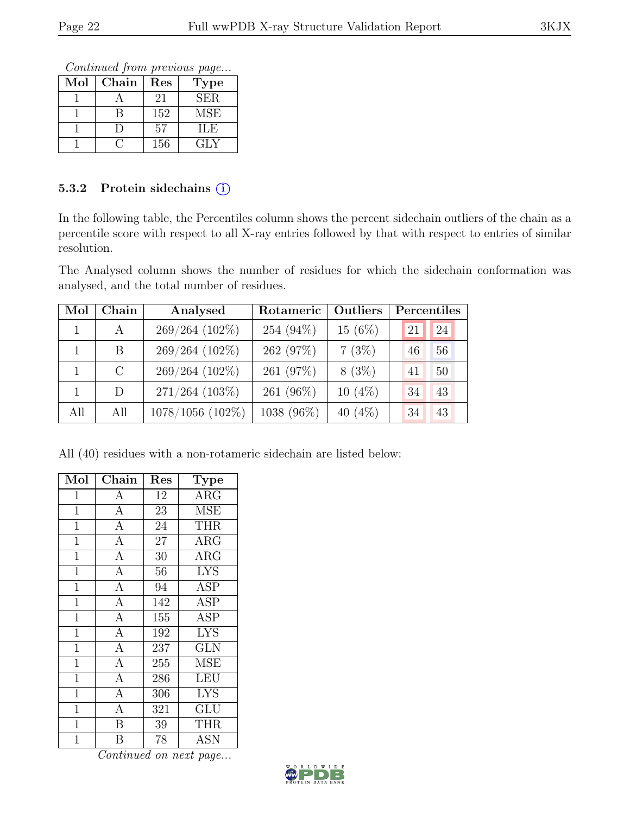Continued from previous page...

| Mol | Chain | Res | <b>Type</b> |
|-----|-------|-----|-------------|
|     |       | 21  | <b>SER</b>  |
|     |       | 152 | MSE         |
|     |       | 57  | НE          |
|     |       | 156 | GLY         |

#### 5.3.2 Protein sidechains (i)

In the following table, the Percentiles column shows the percent sidechain outliers of the chain as a percentile score with respect to all X-ray entries followed by that with respect to entries of similar resolution.

The Analysed column shows the number of residues for which the sidechain conformation was analysed, and the total number of residues.

| Mol | Chain        | Analysed         | Rotameric  | Outliers   |    | Percentiles |
|-----|--------------|------------------|------------|------------|----|-------------|
|     | $\mathbf{A}$ | 269/264 (102%)   | 254 (94%)  | $15(6\%)$  | 21 | 24          |
|     | B            | 269/264 (102%)   | 262 (97%)  | 7(3%)      | 46 | 56          |
|     | $\rm C$      | 269/264 (102%)   | 261 (97%)  | $8(3\%)$   | 41 | 50          |
|     | D            | $271/264$ (103%) | 261 (96%)  | $10(4\%)$  | 34 | 43          |
| All | All          | 1078/1056 (102%) | 1038 (96%) | 40 $(4\%)$ | 34 | 43          |

All (40) residues with a non-rotameric sidechain are listed below:

| Mol            | Chain                   | Res             | <b>Type</b>             |
|----------------|-------------------------|-----------------|-------------------------|
| $\mathbf{1}$   | $\boldsymbol{A}$        | 12              | $\overline{\rm{ARG}}$   |
| $\mathbf{1}$   | $\overline{A}$          | 23              | <b>MSE</b>              |
| $\overline{1}$ | $\overline{A}$          | 24              | <b>THR</b>              |
| $\mathbf{1}$   | $\overline{A}$          | 27              | <b>ARG</b>              |
| $\mathbf{1}$   | $\overline{A}$          | 30              | $\overline{\text{ARG}}$ |
| $\mathbf{1}$   | $\overline{A}$          | 56              | <b>LYS</b>              |
| $\overline{1}$ | $\overline{A}$          | $\overline{94}$ | <b>ASP</b>              |
| $\overline{1}$ | $\overline{A}$          | 142             | <b>ASP</b>              |
| $\mathbf{1}$   | $\overline{A}$          | 155             | ASP                     |
| $\overline{1}$ | $\overline{A}$          | 192             | <b>LYS</b>              |
| $\mathbf{1}$   | $\overline{A}$          | 237             | <b>GLN</b>              |
| $\mathbf{1}$   | $\overline{A}$          | 255             | <b>MSE</b>              |
| $\mathbf{1}$   | $\overline{A}$          | 286             | <b>LEU</b>              |
| $\mathbf{1}$   | $\overline{A}$          | 306             | <b>LYS</b>              |
| $\mathbf{1}$   | $\overline{A}$          | 321             | GLU                     |
| $\mathbf{1}$   | $\overline{B}$          | 39              | <b>THR</b>              |
| 1              | $\overline{\mathrm{B}}$ | 78              | <b>ASN</b>              |

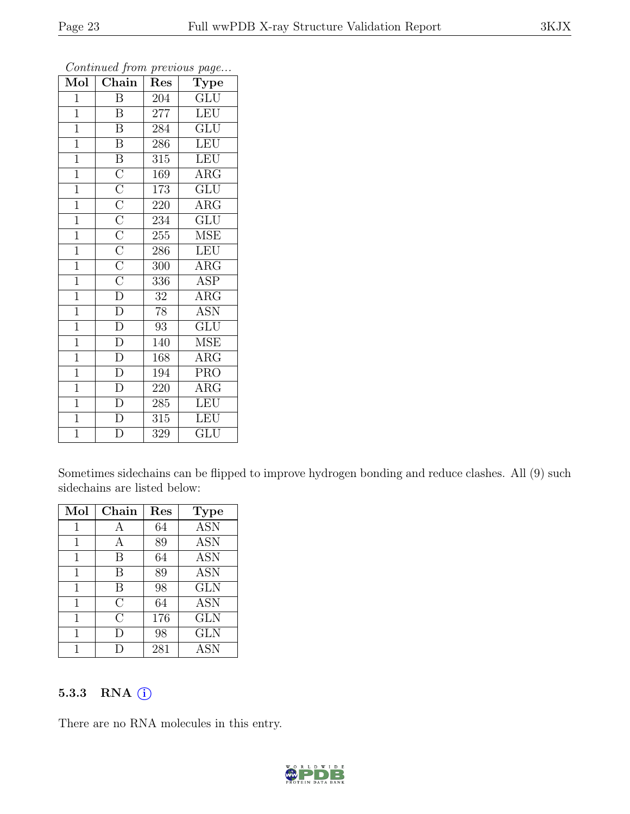| $\overline{\text{Mol}}$ | Chain                                                                                                                                                 | Res              | $r - 3 -$<br><b>Type</b> |
|-------------------------|-------------------------------------------------------------------------------------------------------------------------------------------------------|------------------|--------------------------|
| $\mathbf{1}$            | Β                                                                                                                                                     | 204              | GLU                      |
| $\mathbf{1}$            | Β                                                                                                                                                     | 277              | LEU                      |
| $\mathbf{1}$            | $\overline{\mathrm{B}}$                                                                                                                               | 284              | $\overline{\text{GLU}}$  |
| $\mathbf{1}$            | $\boldsymbol{B}$                                                                                                                                      | 286              | <b>LEU</b>               |
| $\overline{1}$          | $\overline{B}$ $\overline{C}$ $\overline{C}$ $\overline{C}$ $\overline{C}$ $\overline{C}$ $\overline{C}$ $\overline{C}$ $\overline{C}$ $\overline{C}$ | $\overline{315}$ | LEU                      |
| $\overline{1}$          |                                                                                                                                                       | 169              | $\rm{ARG}$               |
| $\mathbf{1}$            |                                                                                                                                                       | 173              | $\overline{\text{GLU}}$  |
| $\mathbf{1}$            |                                                                                                                                                       | 220              | $\rm{ARG}$               |
| $\overline{1}$          |                                                                                                                                                       | 234              | $\overline{\text{GLU}}$  |
| $\overline{1}$          |                                                                                                                                                       | 255              | <b>MSE</b>               |
| $\overline{1}$          |                                                                                                                                                       | 286              | <b>LEU</b>               |
| $\mathbf{1}$            |                                                                                                                                                       | 300              | $AR\overline{G}$         |
| $\mathbf{1}$            |                                                                                                                                                       | 336              | ASP                      |
| $\mathbf{1}$            | $\overline{\rm D}$                                                                                                                                    | 32               | ARG                      |
| $\mathbf{1}$            | $\overline{\rm D}$                                                                                                                                    | 78               | <b>ASN</b>               |
| $\mathbf{1}$            | $\overline{\rm D}$                                                                                                                                    | 93               | $GL\overline{U}$         |
| $\mathbf{1}$            | $\overline{\rm D}$                                                                                                                                    | 140              | <b>MSE</b>               |
| $\mathbf{1}$            | $\overline{\rm D}$                                                                                                                                    | 168              | $\overline{A}RG$         |
| $\mathbf{1}$            | $\overline{\rm D}$                                                                                                                                    | 194              | <b>PRO</b>               |
| $\overline{1}$          | $\overline{\rm D}$                                                                                                                                    | 220              | $\overline{\text{ARG}}$  |
| $\overline{1}$          | $\overline{\mathrm{D}}$                                                                                                                               | 285              | LEU                      |
| $\overline{1}$          | $\overline{\rm D}$                                                                                                                                    | 315              | LEU                      |
| $\mathbf 1$             | $\overline{\rm D}$                                                                                                                                    | 329              | $\overline{{\rm GLU}}$   |

Sometimes sidechains can be flipped to improve hydrogen bonding and reduce clashes. All (9) such sidechains are listed below:

| Mol          | Chain          | $\operatorname{Res}% \left( \mathcal{N}\right) \equiv\operatorname*{Res}\left( \mathcal{N}\right)$ | <b>Type</b>      |
|--------------|----------------|----------------------------------------------------------------------------------------------------|------------------|
| 1            | А              | 64                                                                                                 | $\overline{ASN}$ |
| $\mathbf{1}$ | А              | 89                                                                                                 | <b>ASN</b>       |
| 1            | В              | 64                                                                                                 | <b>ASN</b>       |
| 1            | В              | 89                                                                                                 | <b>ASN</b>       |
| 1            | B              | 98                                                                                                 | GLN              |
| 1            | С              | 64                                                                                                 | <b>ASN</b>       |
| 1            | $\overline{C}$ | 176                                                                                                | <b>GLN</b>       |
| 1            | D              | 98                                                                                                 | <b>GLN</b>       |
| 1            |                | 281                                                                                                | <b>ASN</b>       |

#### 5.3.3 RNA (i)

There are no RNA molecules in this entry.

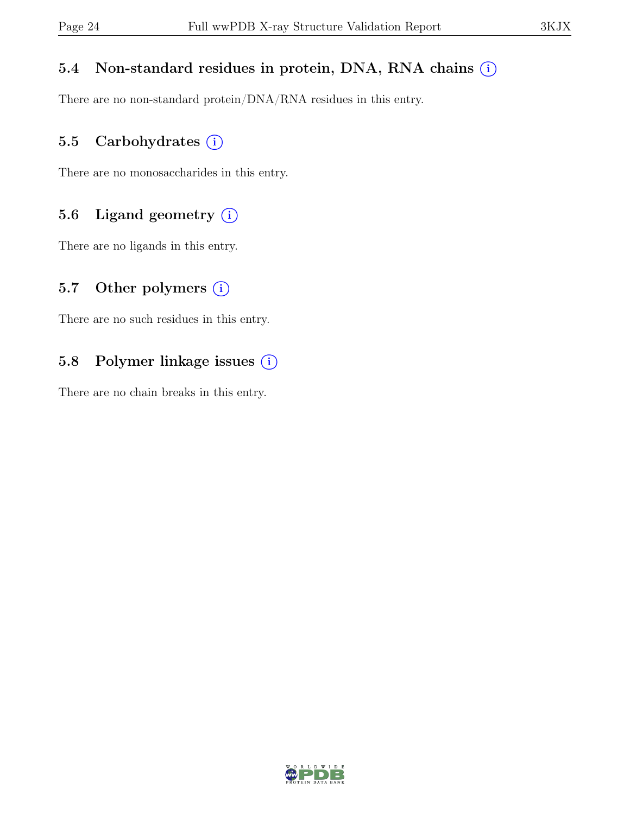#### 5.4 Non-standard residues in protein, DNA, RNA chains  $(i)$

There are no non-standard protein/DNA/RNA residues in this entry.

#### 5.5 Carbohydrates  $(i)$

There are no monosaccharides in this entry.

#### 5.6 Ligand geometry  $(i)$

There are no ligands in this entry.

#### 5.7 Other polymers  $(i)$

There are no such residues in this entry.

### 5.8 Polymer linkage issues (i)

There are no chain breaks in this entry.

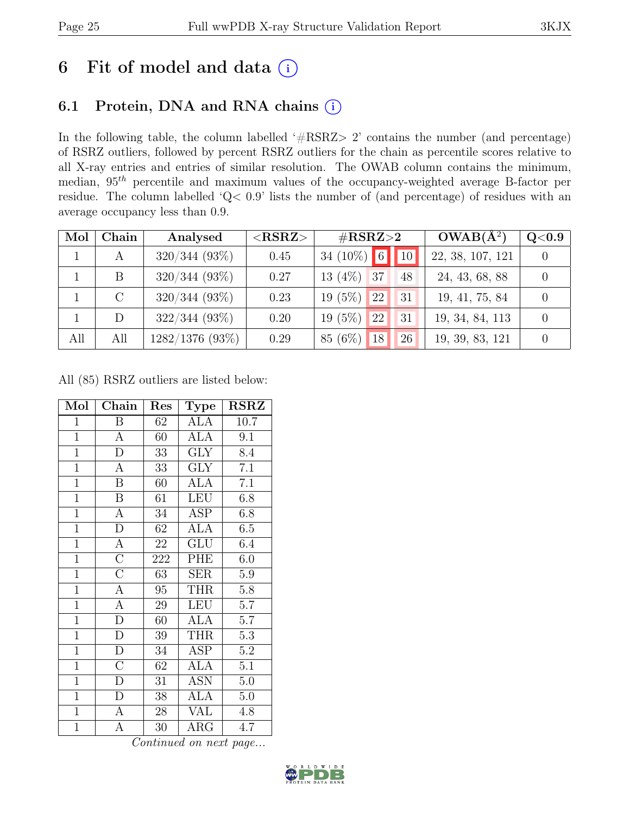# 6 Fit of model and data  $(i)$

## 6.1 Protein, DNA and RNA chains (i)

In the following table, the column labelled ' $\#\text{RSRZ}>2$ ' contains the number (and percentage) of RSRZ outliers, followed by percent RSRZ outliers for the chain as percentile scores relative to all X-ray entries and entries of similar resolution. The OWAB column contains the minimum, median,  $95<sup>th</sup>$  percentile and maximum values of the occupancy-weighted average B-factor per residue. The column labelled 'Q< 0.9' lists the number of (and percentage) of residues with an average occupancy less than 0.9.

| Mol | Chain   | Analysed          | $<$ RSRZ $>$ | $\#\text{RSRZ}\text{>2}$          | $OWAB(A^2)$      | $\rm Q\textcolor{black}{<}0.9$ |
|-----|---------|-------------------|--------------|-----------------------------------|------------------|--------------------------------|
|     | A       | $320/344$ (93\%)  | 0.45         | 34 (10%) 6 10                     | 22, 38, 107, 121 |                                |
|     | B       | $320/344$ (93%)   | 0.27         | $13(4\%)$ 37<br>48                | 24, 43, 68, 88   |                                |
|     | $\rm C$ | $320/344$ (93\%)  | 0.23         | (5%)<br><sup>22</sup><br>31<br>19 | 19, 41, 75, 84   |                                |
|     | D       | $322/344(93\%)$   | 0.20         | (5%)<br><sup>22</sup><br>31<br>19 | 19, 34, 84, 113  |                                |
| All | All     | $1282/1376$ (93%) | 0.29         | 85 (6%)<br><sup>18</sup><br>26    | 19, 39, 83, 121  |                                |

All (85) RSRZ outliers are listed below:

| Mol            | ${\rm Chain}$      | Res    | Type                    | <b>RSRZ</b> |
|----------------|--------------------|--------|-------------------------|-------------|
| $\mathbf{1}$   | B                  | 62     | ALA                     | 10.7        |
| $\overline{1}$ | $\mathbf{A}$       | 60     | <b>ALA</b>              | 9.1         |
| $\mathbf{1}$   | $\overline{\rm D}$ | 33     | $\overline{\text{GLY}}$ | 8.4         |
| $\overline{1}$ | $\overline{\rm A}$ | 33     | $\overline{\text{GLY}}$ | 7.1         |
| $\overline{1}$ | $\overline{B}$     | 60     | $\rm AL\overline{A}$    | 7.1         |
| $\overline{1}$ | $\boldsymbol{B}$   | 61     | <b>LEU</b>              | 6.8         |
| $\overline{1}$ | $\boldsymbol{A}$   | 34     | <b>ASP</b>              | 6.8         |
| $\mathbf{1}$   | $\overline{D}$     | 62     | ALA                     | 6.5         |
| $\overline{1}$ | $\overline{A}$     | 22     | GLU                     | 6.4         |
| $\overline{1}$ | $\overline{C}$     | 222    | PHE                     | 6.0         |
| $\overline{1}$ | $\overline{\rm C}$ | 63     | <b>SER</b>              | 5.9         |
| $\overline{1}$ | $\overline{\rm A}$ | $95\,$ | <b>THR</b>              | $5.8\,$     |
| $\overline{1}$ | $\overline{A}$     | $\,29$ | <b>LEU</b>              | 5.7         |
| $\mathbf{1}$   | $\overline{\rm D}$ | 60     | <b>ALA</b>              | 5.7         |
| $\overline{1}$ | $\overline{D}$     | $39\,$ | <b>THR</b>              | $5.3\,$     |
| $\overline{1}$ | $\overline{\rm D}$ | 34     | <b>ASP</b>              | $5.2\,$     |
| $\overline{1}$ | $\overline{\rm C}$ | 62     | ALA                     | 5.1         |
| $\mathbf{1}$   | $\mathbf{D}$       | 31     | <b>ASN</b>              | 5.0         |
| $\mathbf{1}$   | D                  | 38     | ALA                     | 5.0         |
| $\mathbf{1}$   | $\boldsymbol{A}$   | 28     | <b>VAL</b>              | 4.8         |
| $\overline{1}$ | A                  | 30     | $\rm{ARG}$              | 4.7         |

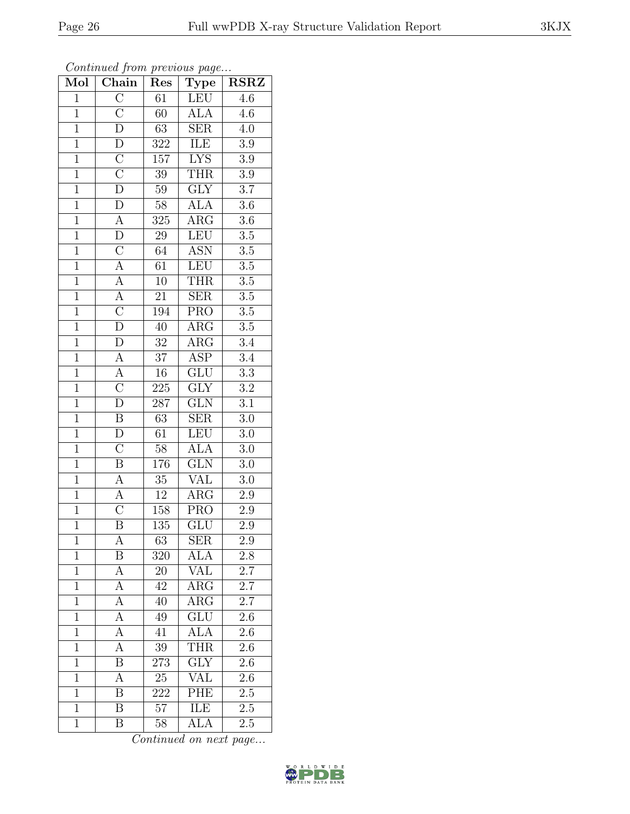| Mol            | $\overline{\text{Chain}}$           | Res              | $\mathrm{Type}$           | <b>RSRZ</b>      |
|----------------|-------------------------------------|------------------|---------------------------|------------------|
| $\mathbf{1}$   | $\overline{\rm C}$                  | 61               | LEU                       | 4.6              |
| $\overline{1}$ | $\overline{\rm C}$                  | 60               | $\overline{\text{ALA}}$   | $\overline{4.6}$ |
| $\overline{1}$ | $\overline{\rm D}$                  | 63               | <b>SER</b>                | 4.0              |
| $\overline{1}$ | $\overline{\rm D}$                  | 322              | ILE                       | $\rm 3.9$        |
| $\overline{1}$ | $\overline{C}$                      | $\overline{157}$ | <b>LYS</b>                | $\overline{3.9}$ |
| $\mathbf{1}$   | $\overline{\rm C}$                  | $39\,$           | <b>THR</b>                | $\rm 3.9$        |
| $\mathbf{1}$   | $\overline{\rm D}$                  | 59               | GLY                       | $\overline{3.7}$ |
| $\overline{1}$ | $\overline{D}$                      | $58\,$           | <b>ALA</b>                | $\overline{3.6}$ |
| $\overline{1}$ |                                     | 325              | $\rm{ARG}$                | $3.6\,$          |
| $\overline{1}$ | $\frac{\overline{A}}{D}$            | $\overline{29}$  | LEU                       | $\overline{3.5}$ |
| $\overline{1}$ |                                     | 64               | <b>ASN</b>                | $3.5\,$          |
| $\overline{1}$ | $\frac{\overline{C}}{A}$            | 61               | LEU                       | $3.5\,$          |
| $\overline{1}$ |                                     | 10               | <b>THR</b>                | $\overline{3.5}$ |
| $\overline{1}$ | $\frac{\overline{A}}{\overline{A}}$ | 21               | <b>SER</b>                | $\overline{3.5}$ |
| $\overline{1}$ | $\overline{\rm C}$                  | 194              | $\overline{\text{PRO}}$   | $\overline{3.5}$ |
| $\mathbf{1}$   | $\overline{\rm D}$                  | 40               | $\rm{ARG}$                | $\overline{3.5}$ |
| $\overline{1}$ | $\overline{D}$                      | $\overline{32}$  | $\overline{\text{ARG}}$   | $\overline{3.4}$ |
| $\overline{1}$ | $\overline{A}$                      | $\overline{37}$  | ASP                       | $\overline{3.4}$ |
| $\overline{1}$ | $\overline{A}$                      | $\overline{16}$  | $\overline{\text{GLU}}$   | $\overline{3.3}$ |
| $\overline{1}$ | $\overline{C}$                      | <b>225</b>       | $\overline{\text{GLY}}$   | $3.2\,$          |
| $\overline{1}$ | $\overline{\rm D}$                  | 287              | $\overline{\text{GLN}}$   | $\overline{3.1}$ |
| $\overline{1}$ | $\overline{B}$                      | 63               | SER                       | $3.0\,$          |
| $\overline{1}$ | $\overline{\rm D}$                  | 61               | <b>LEU</b>                | $3.0\,$          |
| $\overline{1}$ | $\overline{\rm C}$                  | $58\,$           | $\overline{\rm ALA}$      | $3.0\,$          |
| $\overline{1}$ | $\overline{\mathbf{B}}$             | 176              | $\overline{\text{GLN}}$   | $3.0\,$          |
| $\mathbf{1}$   | $\overline{A}$                      | $35\,$           | <b>VAL</b>                | 3.0              |
| $\overline{1}$ | $\overline{A}$                      | 12               | $\overline{\text{ARG}}$   | 2.9              |
| $\overline{1}$ | $\overline{\rm C}$                  | 158              | <b>PRO</b>                | $2.9\,$          |
| $\overline{1}$ | $\overline{\mathrm{B}}$             | 135              | $\overline{\mathrm{GLU}}$ | $\overline{2.9}$ |
| 1              | А                                   | 63               | <b>SER</b>                | 2.9              |
| $\mathbf{1}$   | Β                                   | 320              | <b>ALA</b>                | 2.8              |
| $\mathbf{1}$   | $\overline{A}$                      | 20               | <b>VAL</b>                | $\overline{2.7}$ |
| $\mathbf{1}$   | A                                   | 42               | $\rm{ARG}$                | $2.\overline{7}$ |
| $\overline{1}$ | $\overline{\rm A}$                  | 40               | $\overline{\text{ARG}}$   | $\overline{2.7}$ |
| $\mathbf{1}$   | A                                   | 49               | $\overline{\text{GLU}}$   | 2.6              |
| $\mathbf{1}$   | $\overline{A}$                      | 41               | <b>ALA</b>                | $\overline{2.6}$ |
| $\mathbf{1}$   | А                                   | 39               | <b>THR</b>                | 2.6              |
| $\overline{1}$ | $\overline{B}$                      | 273              | $\overline{\text{GLY}}$   | 2.6              |
| $\mathbf{1}$   | А                                   | 25               | $\overline{\text{VAL}}$   | 2.6              |
| $\mathbf{1}$   | B                                   | 222              | PHE                       | 2.5              |
| $\mathbf{1}$   | B                                   | 57               | <b>ILE</b>                | 2.5              |
| $\mathbf{1}$   | Β                                   | 58               | ALA                       | 2.5              |